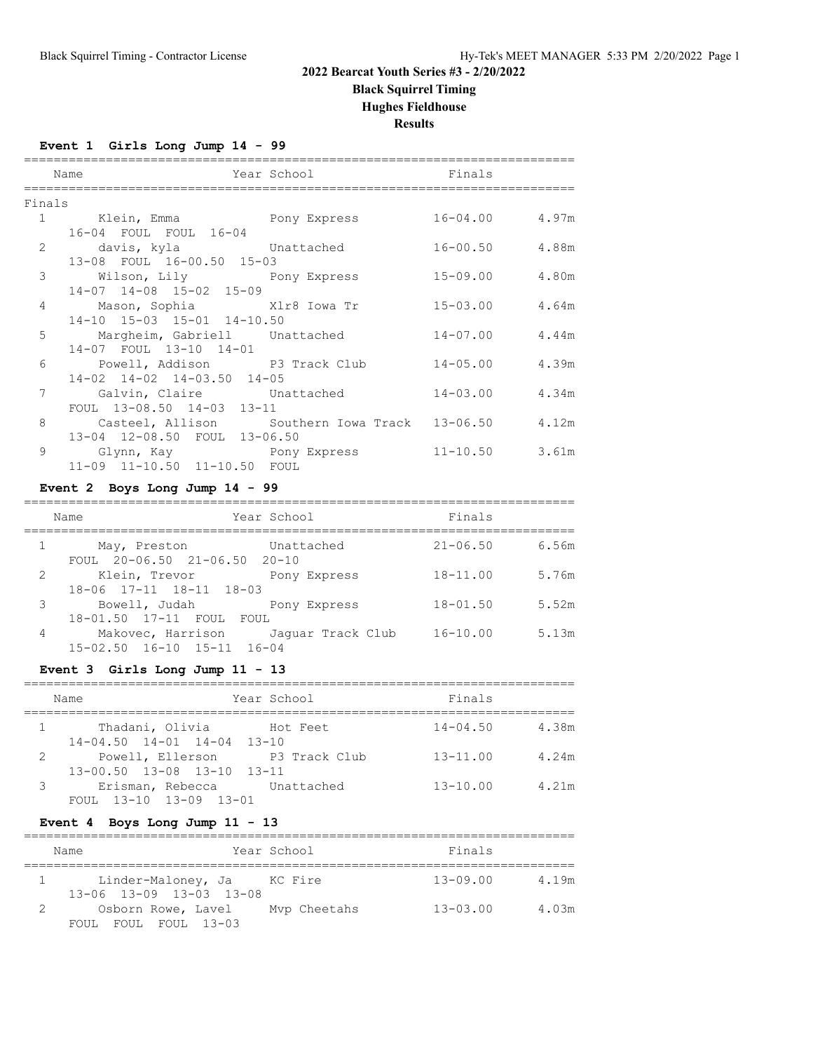**Black Squirrel Timing**

#### **Hughes Fieldhouse**

**Results**

==========================================================================

#### **Event 1 Girls Long Jump 14 - 99**

|        | Name                                                  | <b>Example 2</b> Year School School School School School School School School School School School School School School |                    |  |  |
|--------|-------------------------------------------------------|-------------------------------------------------------------------------------------------------------------------------|--------------------|--|--|
| Finals |                                                       |                                                                                                                         |                    |  |  |
|        |                                                       |                                                                                                                         |                    |  |  |
|        | 16-04 FOUL FOUL 16-04                                 |                                                                                                                         |                    |  |  |
|        | 2 davis, kyla Unattached                              |                                                                                                                         | $16 - 00.50$ 4.88m |  |  |
|        | 13-08 FOUL 16-00.50 15-03                             |                                                                                                                         |                    |  |  |
|        | 3 Wilson, Lily Pony Express                           |                                                                                                                         | $15 - 09.00$ 4.80m |  |  |
|        | 14-07 14-08 15-02 15-09                               |                                                                                                                         |                    |  |  |
|        | 4 Mason, Sophia Xlr8 Iowa Tr                          |                                                                                                                         | $15 - 03.00$ 4.64m |  |  |
|        | 14-10 15-03 15-01 14-10.50                            |                                                                                                                         |                    |  |  |
|        | 5 Margheim, Gabriell Unattached                       |                                                                                                                         | $14 - 07.00$ 4.44m |  |  |
|        | 14-07 FOUL 13-10 14-01                                |                                                                                                                         |                    |  |  |
|        | 6 Powell, Addison P3 Track Club                       |                                                                                                                         | $14 - 05.00$ 4.39m |  |  |
|        | 14-02 14-02 14-03.50 14-05                            |                                                                                                                         |                    |  |  |
|        | 7 Galvin, Claire Unattached                           |                                                                                                                         | $14 - 03.00$ 4.34m |  |  |
|        | FOUL 13-08.50 14-03 13-11                             |                                                                                                                         |                    |  |  |
|        | 8 Casteel, Allison Southern Iowa Track 13-06.50 4.12m |                                                                                                                         |                    |  |  |
|        | 13-04 12-08.50 FOUL 13-06.50                          |                                                                                                                         |                    |  |  |
|        | 9 Glynn, Kay     Pony Express                         |                                                                                                                         | $11-10.50$ 3.61m   |  |  |
|        | 11-09 11-10.50 11-10.50 FOUL                          |                                                                                                                         |                    |  |  |
|        |                                                       |                                                                                                                         |                    |  |  |

## **Event 2 Boys Long Jump 14 - 99**

|   | Name                                               | Year School                         | Finals       |       |
|---|----------------------------------------------------|-------------------------------------|--------------|-------|
|   | May, Preston<br>FOUL $20-06.50$ $21-06.50$ $20-10$ | Unattached                          | $21 - 06.50$ | 6.56m |
| 2 | Klein, Trevor                                      | Pony Express                        | $18 - 11.00$ | 5.76m |
| 3 | 18-06 17-11 18-11 18-03<br>Bowell, Judah           | Pony Express                        | $18 - 01.50$ | 5.52m |
| 4 | 18-01.50 17-11 FOUL FOUL                           | Makovec, Harrison Jaquar Track Club | $16 - 10.00$ | 5.13m |
|   | $15 - 02.50$ $16 - 10$ $15 - 11$ $16 - 04$         |                                     |              |       |

#### **Event 3 Girls Long Jump 11 - 13**

|   | Name                                                   | Year School   | Finals       |       |
|---|--------------------------------------------------------|---------------|--------------|-------|
|   | Thadani, Olivia Hot Feet                               |               | $14 - 04.50$ | 4.38m |
| 2 | $14-04.50$ $14-01$ $14-04$ $13-10$<br>Powell, Ellerson | P3 Track Club | $13 - 11.00$ | 4.24m |
| 3 | 13-00.50 13-08 13-10 13-11<br>Erisman, Rebecca         | Unattached    | $13 - 10.00$ | 4.21m |
|   | FOUL 13-10 13-09 13-01                                 |               |              |       |

#### **Event 4 Boys Long Jump 11 - 13**

| Name                                                               | Year School  | Finals                |  |
|--------------------------------------------------------------------|--------------|-----------------------|--|
| Linder-Maloney, Ja KC Fire<br>1<br>$13-06$ $13-09$ $13-03$ $13-08$ |              | $13 - 09.00$<br>4.19m |  |
| Osborn Rowe, Lavel<br>FOUL FOUL FOUL 13-03                         | Mvp Cheetahs | $13 - 03.00$<br>4.03m |  |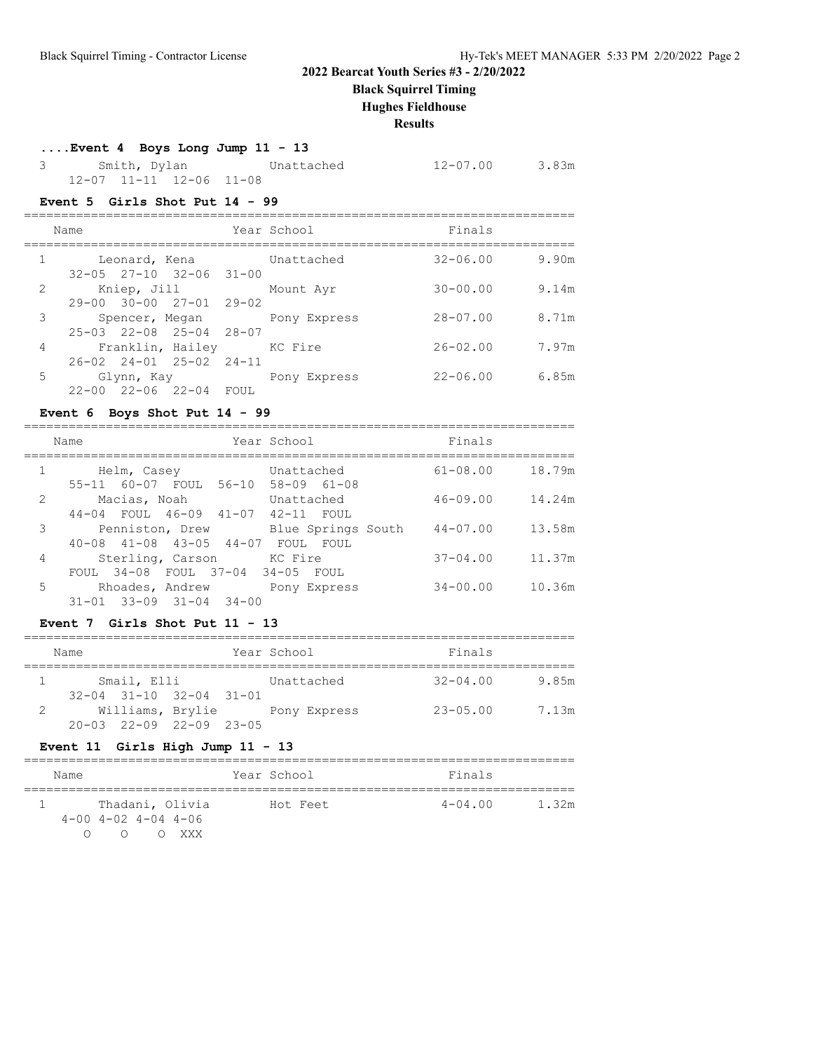**Black Squirrel Timing**

#### **Hughes Fieldhouse**

**Results**

#### **....Event 4 Boys Long Jump 11 - 13**

| Smith, Dylan |  |                         | Unattached | 12-07.00 | 3.83m |  |
|--------------|--|-------------------------|------------|----------|-------|--|
|              |  | 12-07 11-11 12-06 11-08 |            |          |       |  |

#### **Event 5 Girls Shot Put 14 - 99**

|   | Name |               |                                                           | Year School  | Finals       |       |
|---|------|---------------|-----------------------------------------------------------|--------------|--------------|-------|
|   |      | Leonard, Kena | $32 - 05$ $27 - 10$ $32 - 06$ $31 - 00$                   | Unattached   | $32 - 06.00$ | 9.90m |
| 2 |      | Kniep, Jill   | $29 - 00$ $30 - 00$ $27 - 01$ $29 - 02$                   | Mount Avr    | $30 - 00.00$ | 9.14m |
| 3 |      |               | Spencer, Megan<br>$25 - 03$ $22 - 08$ $25 - 04$ $28 - 07$ | Pony Express | $28 - 07.00$ | 8.71m |
| 4 |      |               | Franklin, Hailey<br>26-02 24-01 25-02 24-11               | KC Fire      | $26 - 02.00$ | 7.97m |
| 5 |      | Glynn, Kay    | $22 - 00$ $22 - 06$ $22 - 04$ FOUL                        | Pony Express | $22 - 06.00$ | 6.85m |

## **Event 6 Boys Shot Put 14 - 99**

|                | Year School<br>Name                                                                                            | Finals       |        |
|----------------|----------------------------------------------------------------------------------------------------------------|--------------|--------|
|                | Unattached<br>Helm, Casey<br>55-11 60-07 FOUL 56-10 58-09 61-08                                                | $61 - 08.00$ | 18.79m |
| 2              | Macias, Noah<br>Unattached<br>FOUL 46-09 41-07 42-11 FOUL<br>$44 - 04$                                         | $46 - 09.00$ | 14.24m |
| 3              | Blue Springs South<br>Penniston, Drew<br>$40 - 08$ $41 - 08$ $43 - 05$ $44 - 07$<br>FOUL FOUL                  | $44 - 07.00$ | 13.58m |
| $\overline{4}$ | KC Fire<br>Sterling, Carson                                                                                    | $37 - 04.00$ | 11.37m |
| 5              | FOUL 34-08 FOUL 37-04 34-05 FOUL<br>Rhoades, Andrew<br>Pony Express<br>$31 - 01$ $33 - 09$ $31 - 04$ $34 - 00$ | $34 - 00.00$ | 10.36m |
|                |                                                                                                                |              |        |

#### **Event 7 Girls Shot Put 11 - 13**

|   | Name        |                                         |  |  | Year School  | Finals       |       |  |  |  |  |  |
|---|-------------|-----------------------------------------|--|--|--------------|--------------|-------|--|--|--|--|--|
|   | Smail, Elli |                                         |  |  | Unattached   | $32 - 04.00$ | 9.85m |  |  |  |  |  |
|   |             | $32 - 04$ $31 - 10$ $32 - 04$ $31 - 01$ |  |  |              |              |       |  |  |  |  |  |
| 2 |             | Williams, Brylie                        |  |  | Pony Express | $23 - 05.00$ | 7.13m |  |  |  |  |  |
|   |             | $20 - 03$ $22 - 09$ $22 - 09$ $23 - 05$ |  |  |              |              |       |  |  |  |  |  |

#### **Event 11 Girls High Jump 11 - 13**

| Name |  |                             | Year School     |          | Finals |             |  |       |
|------|--|-----------------------------|-----------------|----------|--------|-------------|--|-------|
|      |  |                             |                 |          |        |             |  |       |
|      |  |                             | Thadani, Olivia | Hot Feet |        | $4 - 04.00$ |  | 1.32m |
|      |  | $4-00$ $4-02$ $4-04$ $4-06$ |                 |          |        |             |  |       |
|      |  | ∩                           | XXX X           |          |        |             |  |       |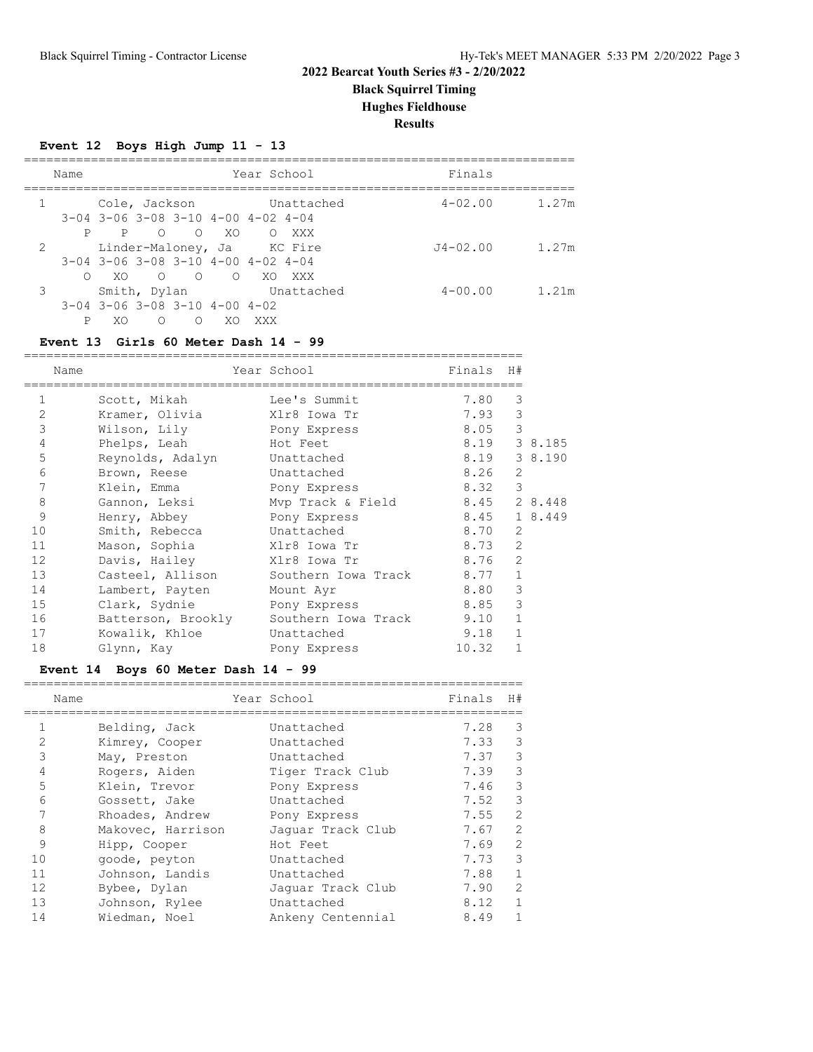**Black Squirrel Timing**

**Hughes Fieldhouse**

**Results**

#### **Event 12 Boys High Jump 11 - 13**

| Name |   |               | Year School  |                                           |           |                                                  |                            | Finals |              |       |
|------|---|---------------|--------------|-------------------------------------------|-----------|--------------------------------------------------|----------------------------|--------|--------------|-------|
|      |   | Cole, Jackson |              |                                           |           |                                                  | Unattached                 |        | $4 - 02.00$  | 1.27m |
|      |   |               |              |                                           |           | $3-04$ $3-06$ $3-08$ $3-10$ $4-00$ $4-02$ $4-04$ |                            |        |              |       |
|      | P | P             | $\bigcirc$   | $\cap$                                    | XO.       | $\Omega$                                         | XXX                        |        |              |       |
| 2    |   |               |              |                                           |           |                                                  | Linder-Maloney, Ja KC Fire |        | $J4 - 02.00$ | 1.27m |
|      |   |               |              |                                           |           | $3-04$ $3-06$ $3-08$ $3-10$ $4-00$ $4-02$ $4-04$ |                            |        |              |       |
|      |   | XO.           | $\bigcirc$   | $\overline{a}$                            | $\bigcap$ | - XO                                             | XXX X                      |        |              |       |
| 3    |   |               | Smith, Dylan |                                           |           |                                                  | Unattached                 |        | $4 - 00.00$  | 1.21m |
|      |   |               |              | $3-04$ $3-06$ $3-08$ $3-10$ $4-00$ $4-02$ |           |                                                  |                            |        |              |       |
|      | P | XO.           | ∩            | $\cap$                                    | XO        | XXX                                              |                            |        |              |       |

#### **Event 13 Girls 60 Meter Dash 14 - 99**

|                | Name               | Year School Search  | Finals H# |                |         |
|----------------|--------------------|---------------------|-----------|----------------|---------|
| 1              | Scott, Mikah       | Lee's Summit        | 7.80      | 3              |         |
| $\mathfrak{D}$ | Kramer, Olivia     | Xlr8 Iowa Tr        | 7.93      | 3              |         |
| 3              | Wilson, Lily       | Pony Express        | 8.05      | 3              |         |
| 4              | Phelps, Leah       | Hot Feet            | 8.19      |                | 3 8.185 |
| 5              | Reynolds, Adalyn   | Unattached          | 8.19      |                | 3 8.190 |
| 6              | Brown, Reese       | Unattached          | 8.26      | 2              |         |
| 7              | Klein, Emma        | Pony Express        | 8.32      | 3              |         |
| 8              | Gannon, Leksi      | Mvp Track & Field   | 8.45      |                | 2 8.448 |
| 9              | Henry, Abbey       | Pony Express        | 8.45      |                | 1 8.449 |
| 10             | Smith, Rebecca     | Unattached          | 8.70      | $\overline{2}$ |         |
| 11             | Mason, Sophia      | Xlr8 Iowa Tr        | 8.73      | $\overline{2}$ |         |
| 12             | Davis, Hailey      | Xlr8 Iowa Tr        | 8.76      | $\overline{2}$ |         |
| 13             | Casteel, Allison   | Southern Iowa Track | 8.77      | $\mathbf{1}$   |         |
| 14             | Lambert, Payten    | Mount Ayr           | 8.80      | 3              |         |
| 15             | Clark, Sydnie      | Pony Express        | 8.85      | 3              |         |
| 16             | Batterson, Brookly | Southern Iowa Track | 9.10      | $\mathbf{1}$   |         |
| 17             | Kowalik, Khloe     | Unattached          | 9.18      | $\mathbf{1}$   |         |
| 18             | Glynn, Kay         | Pony Express        | 10.32     | $\mathbf{1}$   |         |

#### **Event 14 Boys 60 Meter Dash 14 - 99**

|                | Name              | Year School       | Finals | H#             |
|----------------|-------------------|-------------------|--------|----------------|
|                | Belding, Jack     | Unattached        | 7.28   | 3              |
| $\overline{2}$ | Kimrey, Cooper    | Unattached        | 7.33   | 3              |
| 3              | May, Preston      | Unattached        | 7.37   | 3              |
| 4              | Rogers, Aiden     | Tiger Track Club  | 7.39   | 3              |
| 5              | Klein, Trevor     | Pony Express      | 7.46   | 3              |
| 6              | Gossett, Jake     | Unattached        | 7.52   | 3              |
|                | Rhoades, Andrew   | Pony Express      | 7.55   | $\overline{2}$ |
| 8              | Makovec, Harrison | Jaquar Track Club | 7.67   | $\mathcal{L}$  |
| 9              | Hipp, Cooper      | Hot Feet          | 7.69   | $\overline{2}$ |
| 10             | goode, peyton     | Unattached        | 7.73   | 3              |
| 11             | Johnson, Landis   | Unattached        | 7.88   | $\mathbf{1}$   |
| 12             | Bybee, Dylan      | Jaquar Track Club | 7.90   | $\overline{2}$ |
| 13             | Johnson, Rylee    | Unattached        | 8.12   | $\mathbf{1}$   |
| 14             | Wiedman, Noel     | Ankeny Centennial | 8.49   | 1              |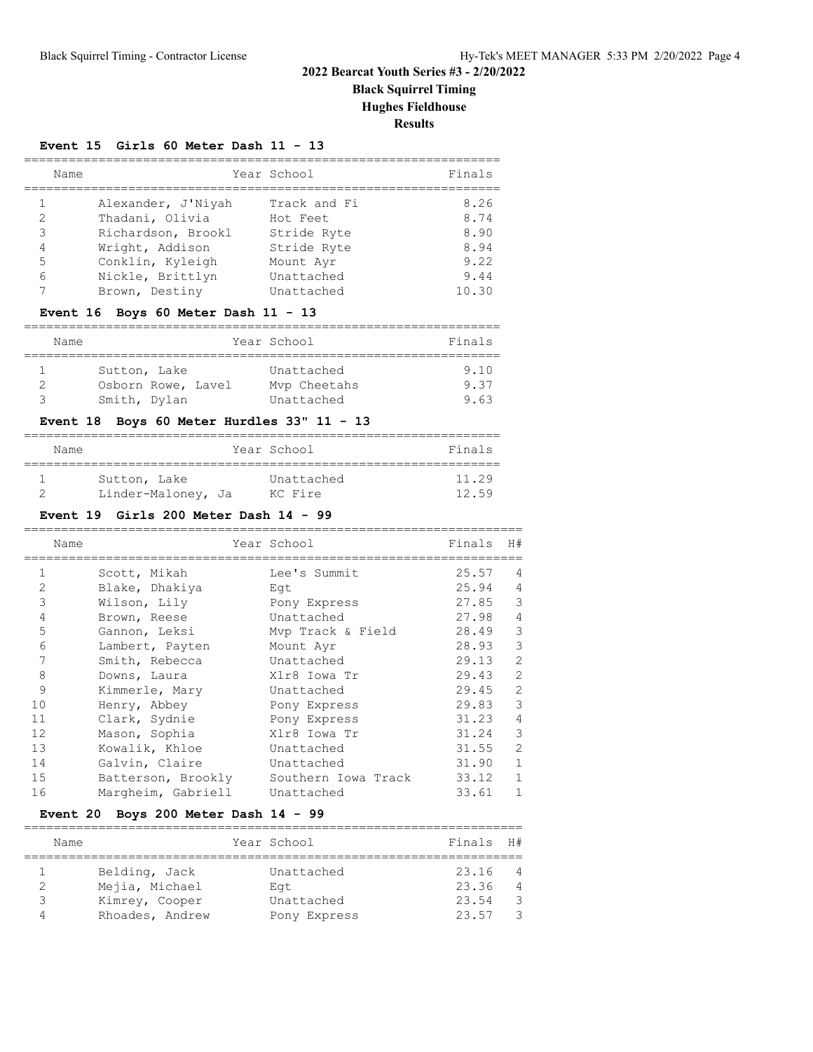**Black Squirrel Timing**

**Hughes Fieldhouse**

**Results**

#### **Event 15 Girls 60 Meter Dash 11 - 13**

| Name          |                    | Year School  | Finals |
|---------------|--------------------|--------------|--------|
|               | Alexander, J'Niyah | Track and Fi | 8.26   |
| $\mathcal{L}$ | Thadani, Olivia    | Hot Feet     | 8.74   |
| 3             | Richardson, Brookl | Stride Ryte  | 8.90   |
| 4             | Wright, Addison    | Stride Ryte  | 8.94   |
| 5             | Conklin, Kyleigh   | Mount Avr    | 9.22   |
| 6             | Nickle, Brittlyn   | Unattached   | 9.44   |
|               | Brown, Destiny     | Unattached   | 10.30  |

#### **Event 16 Boys 60 Meter Dash 11 - 13**

| Name |                    | Year School  | Finals |
|------|--------------------|--------------|--------|
|      |                    |              |        |
|      | Sutton, Lake       | Unattached   | 9.10   |
|      | Osborn Rowe, Lavel | Mvp Cheetahs | 937    |
|      | Smith, Dylan       | Unattached   | 9.63   |

#### **Event 18 Boys 60 Meter Hurdles 33" 11 - 13**

| Name |                    | Year School | Finals |
|------|--------------------|-------------|--------|
|      | Sutton, Lake       | Unattached  | 11.29  |
|      | Linder-Maloney, Ja | KC Fire     | 12 59  |

## **Event 19 Girls 200 Meter Dash 14 - 99**

|                | Name |                    | Year School         | Finals | H#             |
|----------------|------|--------------------|---------------------|--------|----------------|
|                |      | Scott, Mikah       | Lee's Summit        | 25.57  | 4              |
| $\overline{2}$ |      | Blake, Dhakiya     | Eqt                 | 25.94  | $\overline{4}$ |
| 3              |      | Wilson, Lily       | Pony Express        | 27.85  | 3              |
| 4              |      | Brown, Reese       | Unattached          | 27.98  | $\overline{4}$ |
| 5              |      | Gannon, Leksi      | Mvp Track & Field   | 28.49  | 3              |
| 6              |      | Lambert, Payten    | Mount Ayr           | 28.93  | 3              |
| 7              |      | Smith, Rebecca     | Unattached          | 29.13  | $\overline{2}$ |
| 8              |      | Downs, Laura       | Xlr8 Iowa Tr        | 29.43  | $\mathfrak{D}$ |
| 9              |      | Kimmerle, Mary     | Unattached          | 29.45  | $\overline{2}$ |
| 10             |      | Henry, Abbey       | Pony Express        | 29.83  | 3              |
| 11             |      | Clark, Sydnie      | Pony Express        | 31.23  | $\overline{4}$ |
| 12             |      | Mason, Sophia      | Xlr8 Iowa Tr        | 31.24  | 3              |
| 13             |      | Kowalik, Khloe     | Unattached          | 31.55  | $\mathfrak{D}$ |
| 14             |      | Galvin, Claire     | Unattached          | 31.90  | $\mathbf{1}$   |
| 15             |      | Batterson, Brookly | Southern Iowa Track | 33.12  | $\mathbf{1}$   |
| 16             |      | Margheim, Gabriell | Unattached          | 33.61  | $\mathbf{1}$   |

#### **Event 20 Boys 200 Meter Dash 14 - 99**

|   | Name            | Year School  | Finals | H#             |
|---|-----------------|--------------|--------|----------------|
|   | Belding, Jack   | Unattached   | 23.16  | $\overline{4}$ |
|   | Mejia, Michael  | Eat          | 23.36  | 4              |
| ੨ | Kimrey, Cooper  | Unattached   | 23.54  | -3             |
| Д | Rhoades, Andrew | Pony Express | 23.57  | -3             |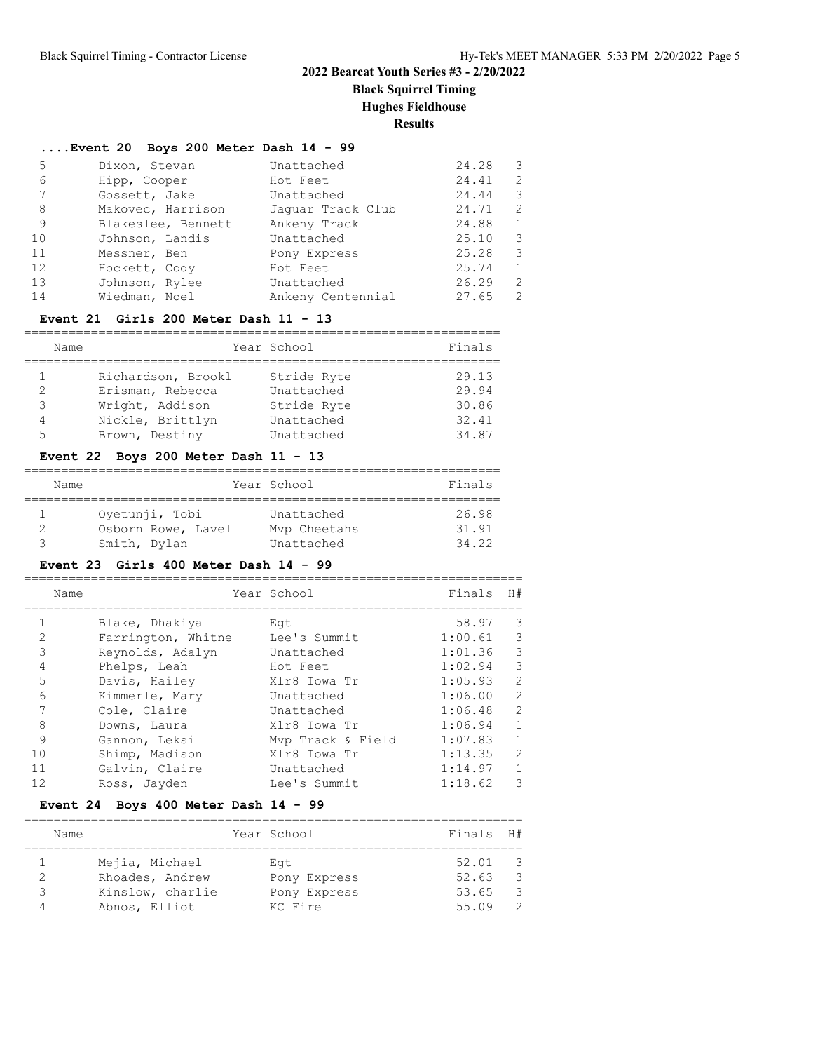**Black Squirrel Timing**

#### **Hughes Fieldhouse**

**Results**

# **....Event 20 Boys 200 Meter Dash 14 - 99**

| Dixon, Stevan      | Unattached        | 24.28 | 3             |
|--------------------|-------------------|-------|---------------|
| Hipp, Cooper       | Hot Feet          | 24.41 | $\mathcal{L}$ |
| Gossett, Jake      | Unattached        | 24.44 | 3             |
| Makovec, Harrison  | Jaquar Track Club | 24.71 | $\mathcal{L}$ |
| Blakeslee, Bennett | Ankeny Track      | 24.88 | $\mathbf{1}$  |
| Johnson, Landis    | Unattached        | 25.10 | 3             |
| Messner, Ben       | Pony Express      | 25.28 | 3             |
| Hockett, Cody      | Hot Feet          | 25.74 | $\mathbf{1}$  |
| Johnson, Rylee     | Unattached        | 26.29 | $\mathcal{L}$ |
| Wiedman, Noel      | Ankeny Centennial | 27.65 | $\mathcal{L}$ |
|                    |                   |       |               |

#### **Event 21 Girls 200 Meter Dash 11 - 13**

|               | Name               | Year School | Finals |
|---------------|--------------------|-------------|--------|
|               |                    |             |        |
|               | Richardson, Brookl | Stride Ryte | 29.13  |
| $\mathcal{L}$ | Erisman, Rebecca   | Unattached  | 29.94  |
| 3             | Wright, Addison    | Stride Ryte | 30.86  |
| 4             | Nickle, Brittlyn   | Unattached  | 32.41  |
| 5             | Brown, Destiny     | Unattached  | 34.87  |

#### **Event 22 Boys 200 Meter Dash 11 - 13**

| Name |                    | Year School  | Finals |
|------|--------------------|--------------|--------|
|      |                    |              |        |
|      | Oyetunji, Tobi     | Unattached   | 26.98  |
|      | Osborn Rowe, Lavel | Mvp Cheetahs | 31.91  |
|      | Smith, Dylan       | Unattached   | 34.22  |

#### **Event 23 Girls 400 Meter Dash 14 - 99**

|    | Name               | Year School       | Finals  | H#             |
|----|--------------------|-------------------|---------|----------------|
|    |                    |                   |         |                |
|    | Blake, Dhakiya     | Eat               | 58.97   | 3              |
| 2  | Farrington, Whitne | Lee's Summit      | 1:00.61 | 3              |
| 3  | Reynolds, Adalyn   | Unattached        | 1:01.36 | 3              |
| 4  | Phelps, Leah       | Hot Feet          | 1:02.94 | 3              |
| 5  | Davis, Hailey      | Xlr8 Iowa Tr      | 1:05.93 | 2              |
| 6  | Kimmerle, Mary     | Unattached        | 1:06.00 | $\overline{2}$ |
|    | Cole, Claire       | Unattached        | 1:06.48 | $\overline{2}$ |
| 8  | Downs, Laura       | Xlr8 Iowa Tr      | 1:06.94 | $\mathbf{1}$   |
| 9  | Gannon, Leksi      | Myp Track & Field | 1:07.83 | $\mathbf{1}$   |
| 10 | Shimp, Madison     | Xlr8 Iowa Tr      | 1:13.35 | $\mathcal{L}$  |
| 11 | Galvin, Claire     | Unattached        | 1:14.97 | $\mathbf{1}$   |
| 12 | Ross, Jayden       | Lee's Summit      | 1:18.62 | 3              |

#### **Event 24 Boys 400 Meter Dash 14 - 99**

| Name             | Year School  | Finals | H#  |
|------------------|--------------|--------|-----|
|                  |              |        |     |
| Mejia, Michael   | Eat          | 52.01  | - 3 |
| Rhoades, Andrew  | Pony Express | 52.63  | - 3 |
| Kinslow, charlie | Pony Express | 53.65  | -3  |
| Abnos, Elliot    | KC Fire      | 55.09  | - 2 |
|                  |              |        |     |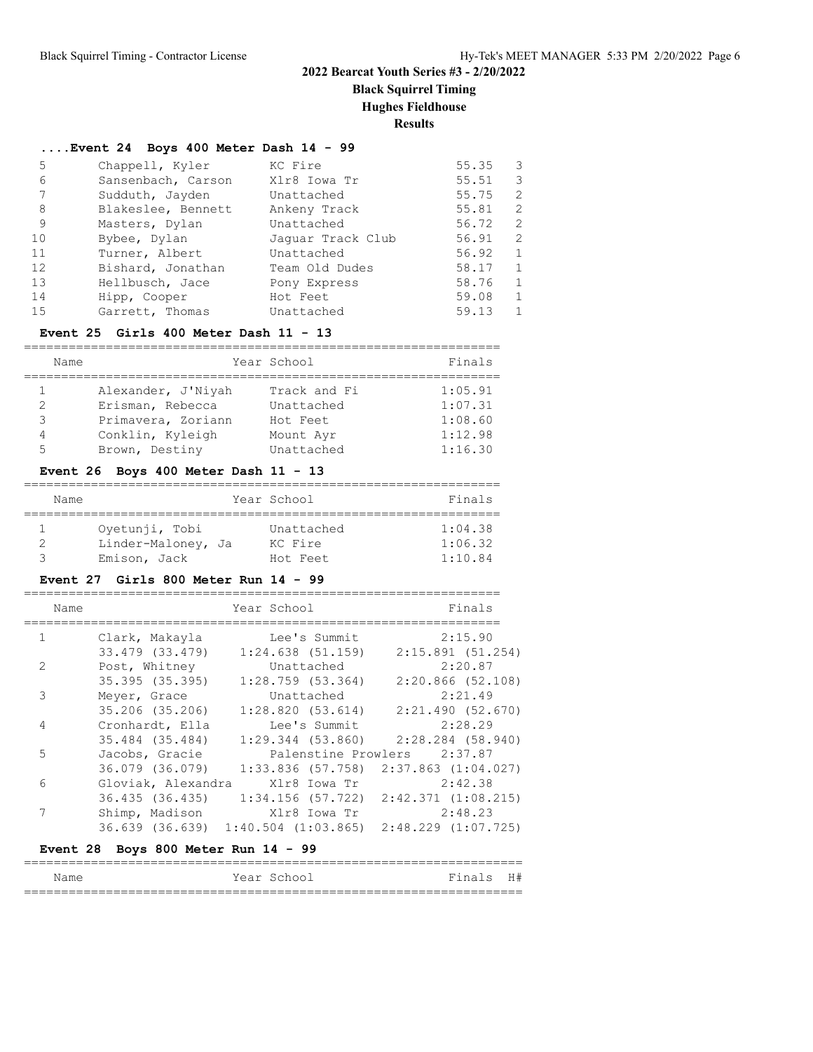**Black Squirrel Timing**

**Hughes Fieldhouse**

**Results**

#### **....Event 24 Boys 400 Meter Dash 14 - 99**

| 5  | Chappell, Kyler    | KC Fire           | 55.35 | 3             |
|----|--------------------|-------------------|-------|---------------|
| 6  | Sansenbach, Carson | Xlr8 Iowa Tr      | 55.51 | 3             |
| 7  | Sudduth, Jayden    | Unattached        | 55.75 | $\mathcal{L}$ |
| 8  | Blakeslee, Bennett | Ankeny Track      | 55.81 | $\mathcal{L}$ |
| 9  | Masters, Dylan     | Unattached        | 56.72 | 2             |
| 10 | Bybee, Dylan       | Jaquar Track Club | 56.91 | $\mathcal{L}$ |
| 11 | Turner, Albert     | Unattached        | 56.92 | $\mathbf{1}$  |
| 12 | Bishard, Jonathan  | Team Old Dudes    | 58.17 |               |
| 13 | Hellbusch, Jace    | Pony Express      | 58.76 | $\mathbf{1}$  |
| 14 | Hipp, Cooper       | Hot Feet          | 59.08 |               |
| 15 | Garrett, Thomas    | Unattached        | 59.13 |               |

#### **Event 25 Girls 400 Meter Dash 11 - 13**

|   | Name |                    | Year School  | Finals  |
|---|------|--------------------|--------------|---------|
|   |      | Alexander, J'Niyah | Track and Fi | 1:05.91 |
|   |      | Erisman, Rebecca   | Unattached   | 1:07.31 |
| 3 |      | Primavera, Zoriann | Hot Feet     | 1:08.60 |
| 4 |      | Conklin, Kyleigh   | Mount Ayr    | 1:12.98 |
| 5 |      | Brown, Destiny     | Unattached   | 1:16.30 |

#### **Event 26 Boys 400 Meter Dash 11 - 13**

| Name               | Year School | Finals  |
|--------------------|-------------|---------|
| Ovetunji, Tobi     | Unattached  | 1:04.38 |
| Linder-Maloney, Ja | KC Fire     | 1:06.32 |
| Emison, Jack       | Hot Feet    | 1:10.84 |

#### **Event 27 Girls 800 Meter Run 14 - 99**

| Name          |                                       | Year School                     | Finals                                                              |
|---------------|---------------------------------------|---------------------------------|---------------------------------------------------------------------|
| 1             | Clark, Makayla                        | Lee's Summit                    | 2:15.90                                                             |
|               | 33.479 (33.479)                       |                                 | $1:24.638$ (51.159) 2:15.891 (51.254)                               |
| $\mathcal{L}$ | Post, Whitney                         | Unattached                      | 2:20.87                                                             |
|               | 35.395 (35.395)                       |                                 | $1:28.759$ (53.364) 2:20.866 (52.108)                               |
| 3             | Meyer, Grace                          | Unattached                      | 2:21.49                                                             |
|               | 35.206 (35.206)                       |                                 | $1:28.820$ (53.614) $2:21.490$ (52.670)                             |
| 4             | Cronhardt, Ella                       | Lee's Summit                    | 2:28.29                                                             |
|               | 35.484 (35.484)                       |                                 | $1:29.344$ (53.860) $2:28.284$ (58.940)                             |
| 5             | Jacobs, Gracie                        |                                 | Palenstine Prowlers 2:37.87                                         |
|               | 36.079 (36.079)                       |                                 | $1:33.836$ (57.758) $2:37.863$ (1:04.027)                           |
| 6             |                                       | Gloviak, Alexandra Xlr8 Iowa Tr | 2:42.38                                                             |
|               | 36.435 (36.435)                       |                                 | $1:34.156$ (57.722) $2:42.371$ (1:08.215)                           |
| 7             | Shimp, Madison                        | Xlr8 Iowa Tr                    | 2:48.23                                                             |
|               |                                       |                                 | $36.639$ $(36.639)$ $1:40.504$ $(1:03.865)$ $2:48.229$ $(1:07.725)$ |
|               | Event 28 Boys 800 Meter Run $14 - 99$ |                                 |                                                                     |

| - -<br>Name | $ -$<br>$\sim$ $\sim$ $\sim$<br>یہ دے<br>---<br>__ | $T$ $T$ $H$<br>. .<br>-- " |
|-------------|----------------------------------------------------|----------------------------|
| $ -$        |                                                    | ____                       |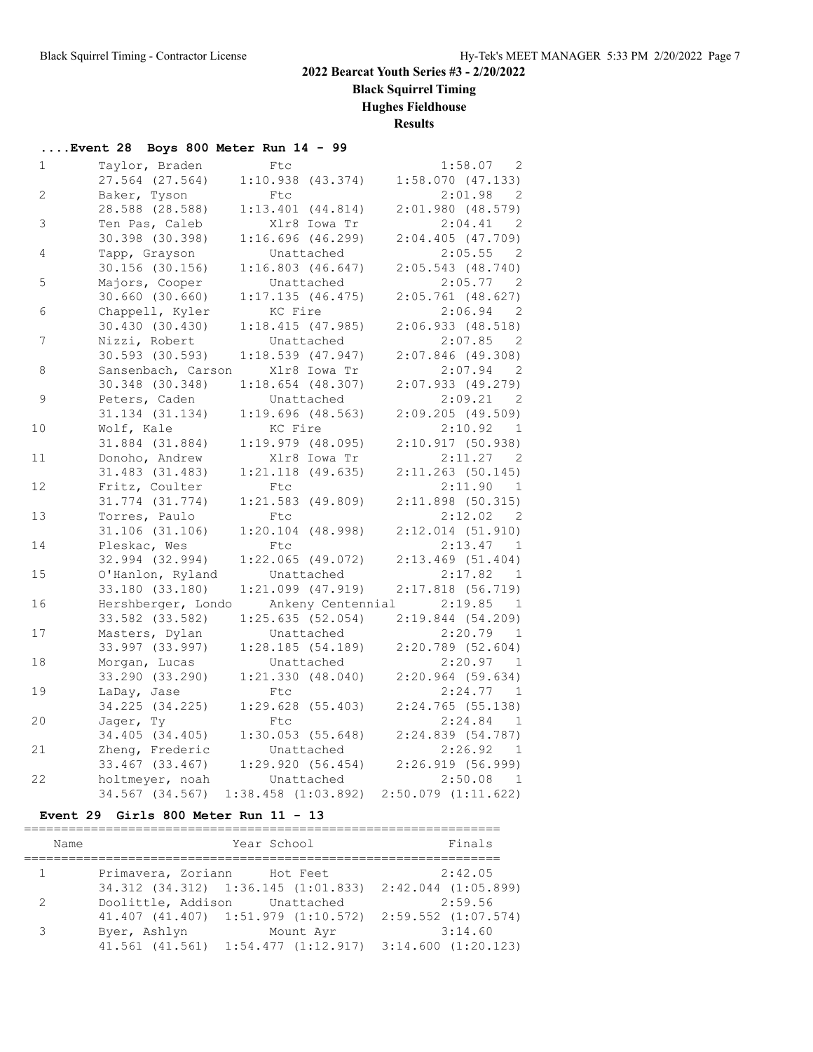**Black Squirrel Timing**

**Hughes Fieldhouse**

**Results**

|                | Event 28 Boys 800 Meter Run 14 - 99 |                            |                                                  |
|----------------|-------------------------------------|----------------------------|--------------------------------------------------|
| $\mathbf{1}$   | Taylor, Braden                      | Ftc                        | 1:58.07 2                                        |
|                | 27.564 (27.564)                     | $1:10.938$ $(43.374)$      | 1:58.070(47.133)                                 |
| $\overline{2}$ | Baker, Tyson                        | Ftc                        | 2:01.98<br>$\overline{2}$                        |
|                | 28.588 (28.588)                     | $1:13.401$ $(44.814)$      | $2:01.980$ (48.579)                              |
| 3              | Ten Pas, Caleb                      | Xlr8 Iowa Tr               | 2:04.41<br>$\overline{2}$                        |
|                | 30.398 (30.398)                     | 1:16.696(46.299)           | 2:04.405(47.709)                                 |
| 4              | Tapp, Grayson                       | Unattached                 | 2:05.55<br>$\overline{2}$                        |
|                | $30.156$ (30.156)                   | 1:16.803(46.647)           | 2:05.543(48.740)                                 |
| 5              | Majors, Cooper                      | Unattached                 | 2:05.77<br>$\overline{2}$                        |
|                | $30.660$ $(30.660)$                 | 1:17.135(46.475)           | $2:05.761$ (48.627)                              |
| 6              | Chappell, Kyler                     | KC Fire                    | 2:06.94<br>- 2                                   |
|                | 30.430(30.430)                      | 1:18.415(47.985)           | 2:06.933(48.518)                                 |
| 7              | Nizzi, Robert                       | Unattached                 | 2:07.85<br>$\overline{2}$                        |
|                | 30.593 (30.593)                     | $1:18.539$ (47.947)        | $2:07.846$ (49.308)                              |
| 8              | Sansenbach, Carson                  | Xlr8 Iowa Tr               | 2:07.94<br>$\overline{2}$                        |
|                | 30.348 (30.348)                     | $1:18.654$ (48.307)        | 2:07.933(49.279)                                 |
| 9              | Peters, Caden                       | Unattached                 | 2:09.21<br>$\overline{2}$                        |
|                | 31.134 (31.134)                     | $1:19.696$ (48.563)        | 2:09.205(49.509)                                 |
| 10             | Wolf, Kale                          | KC Fire                    | 2:10.92<br>$\mathbf{1}$                          |
|                | 31.884 (31.884)                     | $1:19.979$ $(48.095)$      | 2:10.917(50.938)                                 |
| 11             | Donoho, Andrew<br>31.483 (31.483)   | Xlr8 Iowa Tr               | 2:11.27<br>$\overline{2}$<br>$2:11.263$ (50.145) |
| 12             | Fritz, Coulter                      | $1:21.118$ (49.635)<br>Ftc | 2:11.90<br>$\mathbf{1}$                          |
|                | 31.774 (31.774)                     | $1:21.583$ (49.809)        | 2:11.898(50.315)                                 |
| 13             | Torres, Paulo                       | Ftc                        | 2:12.02<br>$\overline{2}$                        |
|                | 31.106 (31.106)                     | $1:20.104$ (48.998)        | $2:12.014$ (51.910)                              |
| 14             | Pleskac, Wes                        | Ftc                        | 2:13.47<br>$\overline{1}$                        |
|                | 32.994 (32.994)                     | $1:22.065$ (49.072)        | $2:13.469$ (51.404)                              |
| 15             | O'Hanlon, Ryland                    | Unattached                 | 2:17.82<br>$\mathbf{1}$                          |
|                | 33.180 (33.180)                     | $1:21.099$ $(47.919)$      | $2:17.818$ (56.719)                              |
| 16             | Hershberger, Londo                  | Ankeny Centennial          | 2:19.85<br>$\mathbf{1}$                          |
|                | 33.582 (33.582)                     | 1:25.635(52.054)           | 2:19.844(54.209)                                 |
| 17             | Masters, Dylan                      | Unattached                 | 2:20.79<br>$\overline{1}$                        |
|                | 33.997 (33.997)                     | 1:28.185(54.189)           | $2:20.789$ (52.604)                              |
| 18             | Morgan, Lucas                       | Unattached                 | 2:20.97<br>$\mathbf{1}$                          |
|                | 33.290 (33.290)                     | 1:21.330(48.040)           | $2:20.964$ (59.634)                              |
| 19             | LaDay, Jase                         | <b>Ftc</b>                 | 2:24.77<br>$\mathbf{1}$                          |
|                | 34.225 (34.225)                     | 1:29.628(55.403)           | 2:24.765(55.138)                                 |
| 20             | Jager, Ty                           | Ftc                        | 2:24.84<br>$\overline{1}$                        |
|                | 34.405 (34.405)                     | 1:30.053(55.648)           | 2:24.839 (54.787)                                |
| 21             | Zheng, Frederic                     | Unattached                 | 2:26.92<br>- 1                                   |
|                | 33.467 (33.467)                     | 1:29.920(56.454)           | 2:26.919(56.999)                                 |
| 22             | holtmeyer, noah                     | Unattached                 | 2:50.08<br>$\overline{1}$                        |
|                | 34.567 (34.567)                     | $1:38.458$ $(1:03.892)$    | $2:50.079$ $(1:11.622)$                          |

#### **Event 29 Girls 800 Meter Run 11 - 13**

| Name          |                               | Year School                                                         | Finals  |
|---------------|-------------------------------|---------------------------------------------------------------------|---------|
| 1             | Primavera, Zoriann Hot Feet   |                                                                     | 2:42.05 |
|               |                               | 34.312 (34.312) 1:36.145 (1:01.833) 2:42.044 (1:05.899)             |         |
| 2             | Doolittle, Addison Unattached |                                                                     | 2:59.56 |
|               |                               | 41.407 (41.407) 1:51.979 (1:10.572) 2:59.552 (1:07.574)             |         |
| $\mathcal{L}$ | Byer, Ashlyn                  | Mount Ayr                                                           | 3:14.60 |
|               |                               | $41.561$ $(41.561)$ $1:54.477$ $(1:12.917)$ $3:14.600$ $(1:20.123)$ |         |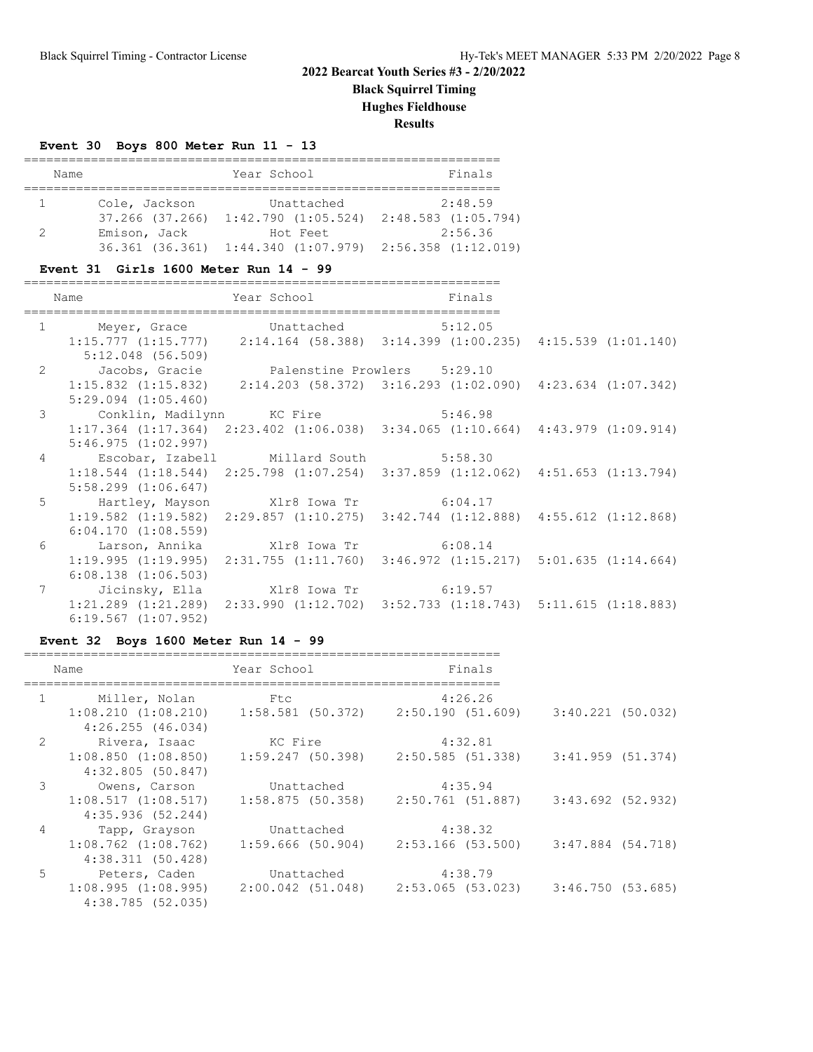**Black Squirrel Timing**

**Hughes Fieldhouse**

**Results**

#### **Event 30 Boys 800 Meter Run 11 - 13**

|  | Name          | Year School                                                         | Finals  |  |  |
|--|---------------|---------------------------------------------------------------------|---------|--|--|
|  |               |                                                                     |         |  |  |
|  | Cole, Jackson | Unattached                                                          | 2:48.59 |  |  |
|  |               | $37.266$ $(37.266)$ $1:42.790$ $(1:05.524)$ $2:48.583$ $(1:05.794)$ |         |  |  |
|  | Emison, Jack  | Hot Feet                                                            | 2:56.36 |  |  |
|  |               | $36.361$ (36.361) $1:44.340$ (1:07.979) $2:56.358$ (1:12.019)       |         |  |  |

#### **Event 31 Girls 1600 Meter Run 14 - 99**

| Name                                         | Year School Near | Finals                                                                                          |  |
|----------------------------------------------|------------------|-------------------------------------------------------------------------------------------------|--|
|                                              |                  |                                                                                                 |  |
| 1 Meyer, Grace Unattached 5:12.05            |                  |                                                                                                 |  |
|                                              |                  | $1:15.777$ $(1:15.777)$ $2:14.164$ $(58.388)$ $3:14.399$ $(1:00.235)$ $4:15.539$ $(1:01.140)$   |  |
| 5:12.048 (56.509)                            |                  |                                                                                                 |  |
| 2 Jacobs, Gracie Palenstine Prowlers 5:29.10 |                  |                                                                                                 |  |
|                                              |                  | 1:15.832 (1:15.832) 2:14.203 (58.372) 3:16.293 (1:02.090) 4:23.634 (1:07.342)                   |  |
| $5:29.094$ $(1:05.460)$                      |                  |                                                                                                 |  |
| 3 Conklin, Madilynn KC Fire 5:46.98          |                  |                                                                                                 |  |
|                                              |                  | $1:17.364$ $(1:17.364)$ $2:23.402$ $(1:06.038)$ $3:34.065$ $(1:10.664)$ $4:43.979$ $(1:09.914)$ |  |
| 5:46.975(1:02.997)                           |                  |                                                                                                 |  |
| 4 Escobar, Izabell Millard South 5:58.30     |                  |                                                                                                 |  |
|                                              |                  | $1:18.544$ $(1:18.544)$ $2:25.798$ $(1:07.254)$ $3:37.859$ $(1:12.062)$ $4:51.653$ $(1:13.794)$ |  |
| $5:58.299$ $(1:06.647)$                      |                  |                                                                                                 |  |
| 5 Hartley, Mayson Xlr8 Iowa Tr 6:04.17       |                  |                                                                                                 |  |
|                                              |                  | 1:19.582 (1:19.582) 2:29.857 (1:10.275) 3:42.744 (1:12.888) 4:55.612 (1:12.868)                 |  |
| 6:04.170(1:08.559)                           |                  |                                                                                                 |  |
| 6 Larson, Annika Xlr8 Iowa Tr 6:08.14        |                  |                                                                                                 |  |
|                                              |                  | $1:19.995$ $(1:19.995)$ $2:31.755$ $(1:11.760)$ $3:46.972$ $(1:15.217)$ $5:01.635$ $(1:14.664)$ |  |
| $6:08.138$ $(1:06.503)$                      |                  |                                                                                                 |  |
| 7 Jicinsky, Ella Xlr8 Iowa Tr 6:19.57        |                  |                                                                                                 |  |
|                                              |                  | $1:21.289$ $(1:21.289)$ $2:33.990$ $(1:12.702)$ $3:52.733$ $(1:18.743)$ $5:11.615$ $(1:18.883)$ |  |
| $6:19.567$ $(1:07.952)$                      |                  |                                                                                                 |  |

#### **Event 32 Boys 1600 Meter Run 14 - 99**

|               | Name                                        | Year School                                                         | Finals  |                   |  |
|---------------|---------------------------------------------|---------------------------------------------------------------------|---------|-------------------|--|
|               | 1 Miller, Nolan                             | Ftc                                                                 | 4:26.26 |                   |  |
|               | 4:26.255(46.034)                            | $1:08.210$ $(1:08.210)$ $1:58.581$ $(50.372)$ $2:50.190$ $(51.609)$ |         | 3:40.221 (50.032) |  |
| 2             | Rivera, Isaac KC Kire                       |                                                                     | 4:32.81 |                   |  |
|               | $1:08.850$ $(1:08.850)$<br>4:32.805(50.847) | $1:59.247$ (50.398) $2:50.585$ (51.338) $3:41.959$ (51.374)         |         |                   |  |
| $\mathcal{E}$ | Owens, Carson                               | Unattached                                                          | 4:35.94 |                   |  |
|               | 4:35.936(52.244)                            | $1:08.517$ $(1:08.517)$ $1:58.875$ $(50.358)$ $2:50.761$ $(51.887)$ |         | 3:43.692 (52.932) |  |
| 4             | Tapp, Grayson                               | Unattached                                                          | 4:38.32 |                   |  |
|               | $1:08.762$ $(1:08.762)$<br>4:38.311(50.428) | $1:59.666$ (50.904) $2:53.166$ (53.500) $3:47.884$ (54.718)         |         |                   |  |
| 5             | Peters, Caden                               | Unattached                                                          | 4:38.79 |                   |  |
|               | 4:38.785(52.035)                            | $1:08.995$ (1:08.995) $2:00.042$ (51.048) $2:53.065$ (53.023)       |         | 3:46.750 (53.685) |  |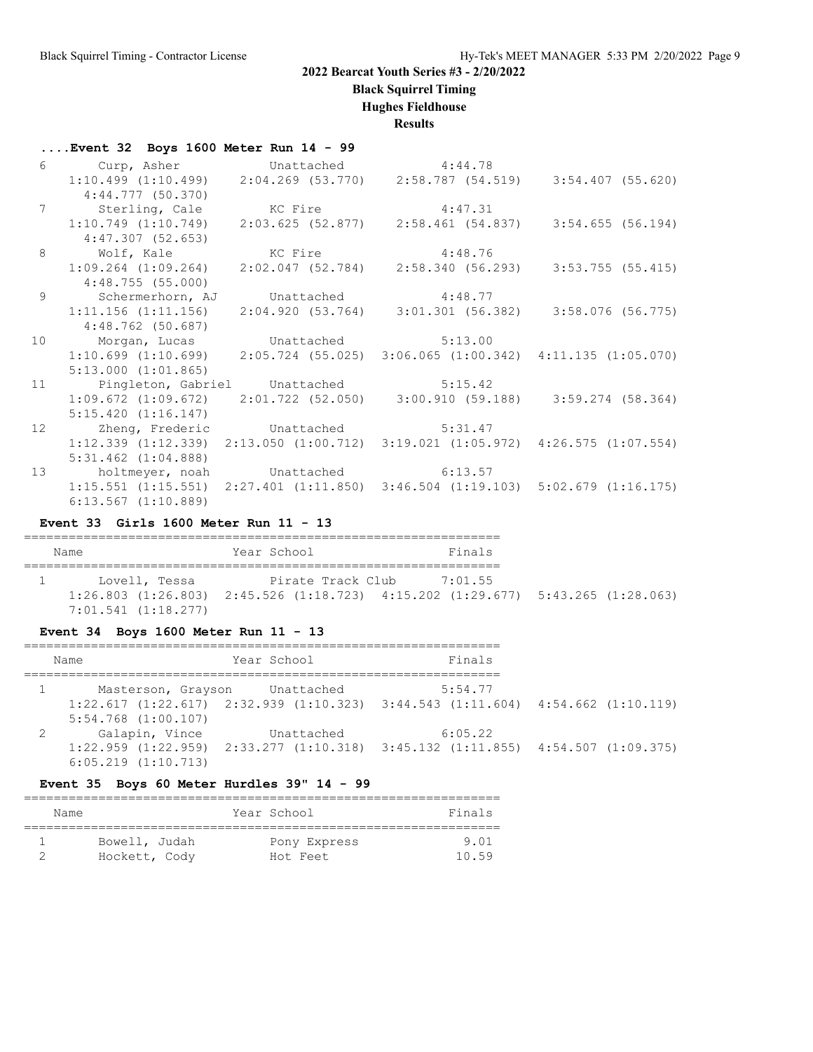**Black Squirrel Timing**

**Hughes Fieldhouse**

**Results**

|    | $\ldots$ Event 32 Boys 1600 Meter Run 14 - 99 |                                       |                                                                                                               |  |
|----|-----------------------------------------------|---------------------------------------|---------------------------------------------------------------------------------------------------------------|--|
|    |                                               |                                       |                                                                                                               |  |
|    |                                               |                                       | 6 Curp, Asher Unattached 4:44.78<br>1:10.499 (1:10.499) 2:04.269 (53.770) 2:58.787 (54.519) 3:54.407 (55.620) |  |
|    | 4:44.777(50.370)                              |                                       |                                                                                                               |  |
|    | 7 Sterling, Cale KC Fire 4:47.31              |                                       |                                                                                                               |  |
|    |                                               |                                       | $1:10.749$ $(1:10.749)$ $2:03.625$ $(52.877)$ $2:58.461$ $(54.837)$ $3:54.655$ $(56.194)$                     |  |
|    | 4:47.307 (52.653)                             |                                       |                                                                                                               |  |
|    | 8 Wolf, Kale KC Fire 4:48.76                  |                                       |                                                                                                               |  |
|    |                                               |                                       | $1:09.264$ $(1:09.264)$ $2:02.047$ $(52.784)$ $2:58.340$ $(56.293)$ $3:53.755$ $(55.415)$                     |  |
|    | 4:48.755 (55.000)                             |                                       |                                                                                                               |  |
|    | 9 Schermerhorn, AJ Unattached 4:48.77         |                                       |                                                                                                               |  |
|    |                                               |                                       | $1:11.156$ (1:11.156) $2:04.920$ (53.764) $3:01.301$ (56.382) $3:58.076$ (56.775)                             |  |
|    | 4:48.762 (50.687)                             |                                       |                                                                                                               |  |
| 10 | Morgan, Lucas Unattached 5:13.00              |                                       |                                                                                                               |  |
|    |                                               |                                       | $1:10.699$ $(1:10.699)$ $2:05.724$ $(55.025)$ $3:06.065$ $(1:00.342)$ $4:11.135$ $(1:05.070)$                 |  |
|    | $5:13.000$ $(1:01.865)$                       |                                       |                                                                                                               |  |
| 11 |                                               | Pingleton, Gabriel Unattached 5:15.42 |                                                                                                               |  |
|    |                                               |                                       | $1:09.672$ $(1:09.672)$ $2:01.722$ $(52.050)$ $3:00.910$ $(59.188)$ $3:59.274$ $(58.364)$                     |  |
|    | 5:15.420(1:16.147)                            |                                       |                                                                                                               |  |
| 12 |                                               | Zheng, Frederic Unattached 5:31.47    |                                                                                                               |  |
|    |                                               |                                       | $1:12.339$ $(1:12.339)$ $2:13.050$ $(1:00.712)$ $3:19.021$ $(1:05.972)$ $4:26.575$ $(1:07.554)$               |  |
|    | $5:31.462$ $(1:04.888)$                       |                                       |                                                                                                               |  |
| 13 |                                               | holtmeyer, noah Unattached 6:13.57    |                                                                                                               |  |
|    |                                               |                                       | $1:15.551$ $(1:15.551)$ $2:27.401$ $(1:11.850)$ $3:46.504$ $(1:19.103)$ $5:02.679$ $(1:16.175)$               |  |
|    | $6:13.567$ $(1:10.889)$                       |                                       |                                                                                                               |  |

#### **Event 33 Girls 1600 Meter Run 11 - 13**

| Name                | Year School | Finals                                                                                          |  |
|---------------------|-------------|-------------------------------------------------------------------------------------------------|--|
| Lovell, Tessa       |             | Pirate Track Club 7:01.55                                                                       |  |
|                     |             |                                                                                                 |  |
|                     |             | $1:26.803$ $(1:26.803)$ $2:45.526$ $(1:18.723)$ $4:15.202$ $(1:29.677)$ $5:43.265$ $(1:28.063)$ |  |
| 7:01.541 (1:18.277) |             |                                                                                                 |  |

#### **Event 34 Boys 1600 Meter Run 11 - 13**

| Name                    | Year School                   | Finals                                                                                          |  |
|-------------------------|-------------------------------|-------------------------------------------------------------------------------------------------|--|
|                         | Masterson, Grayson Unattached | 5:54.77                                                                                         |  |
|                         |                               | $1:22.617$ $(1:22.617)$ $2:32.939$ $(1:10.323)$ $3:44.543$ $(1:11.604)$ $4:54.662$ $(1:10.119)$ |  |
| $5:54.768$ $(1:00.107)$ |                               |                                                                                                 |  |
| Galapin, Vince          | Unattached                    | 6:05.22                                                                                         |  |
|                         |                               | $1:22.959$ $(1:22.959)$ $2:33.277$ $(1:10.318)$ $3:45.132$ $(1:11.855)$ $4:54.507$ $(1:09.375)$ |  |
| $6:05.219$ $(1:10.713)$ |                               |                                                                                                 |  |

#### **Event 35 Boys 60 Meter Hurdles 39" 14 - 99**

| Name          | Year School  | Finals |
|---------------|--------------|--------|
| Bowell, Judah | Pony Express | 9 0 1  |
| Hockett, Cody | Hot Feet     | 10.59  |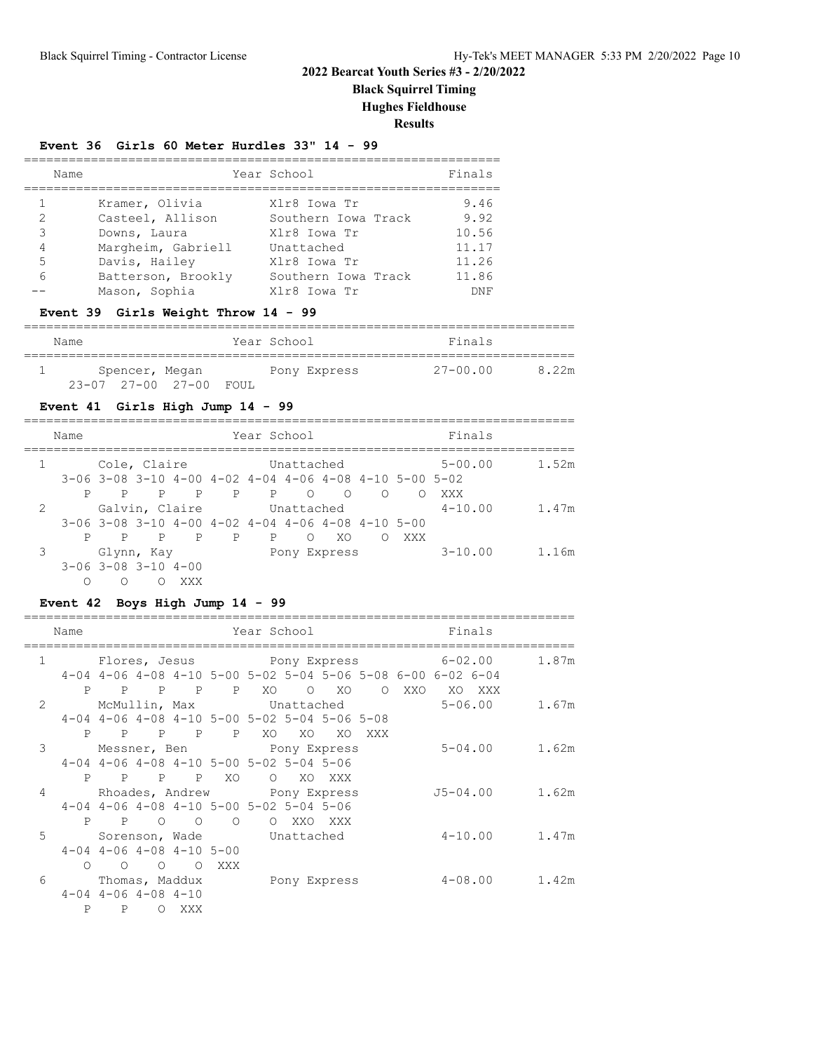**Black Squirrel Timing**

**Hughes Fieldhouse**

**Results**

#### **Event 36 Girls 60 Meter Hurdles 33" 14 - 99**

| Name   |                                     | Year School                         | Finals        |
|--------|-------------------------------------|-------------------------------------|---------------|
|        | Kramer, Olivia                      | Xlr8 Iowa Tr                        | 9.46          |
| 2<br>3 | Casteel, Allison<br>Downs, Laura    | Southern Iowa Track<br>Xlr8 Iowa Tr | 9.92<br>10.56 |
| 4      | Margheim, Gabriell                  | Unattached                          | 11.17         |
| 5      | Davis, Hailey                       | Xlr8 Iowa Tr                        | 11.26         |
| 6      | Batterson, Brookly<br>Mason, Sophia | Southern Iowa Track<br>Xlr8 Iowa Tr | 11.86<br>DNF  |

#### **Event 39 Girls Weight Throw 14 - 99**

==========================================================================

| Name |                |                        | Year School |              | Finals       |       |
|------|----------------|------------------------|-------------|--------------|--------------|-------|
|      |                |                        |             |              |              |       |
|      | Spencer, Megan |                        |             | Pony Express | $27 - 00.00$ | 8.22m |
|      |                | 23-07 27-00 27-00 FOUL |             |              |              |       |

#### **Event 41 Girls High Jump 14 - 99**

|               | Name |              |                                     |     |                                                                              | Year School |            |              |        |          | Finals      |       |
|---------------|------|--------------|-------------------------------------|-----|------------------------------------------------------------------------------|-------------|------------|--------------|--------|----------|-------------|-------|
|               |      |              | Cole, Claire                        |     |                                                                              |             | Unattached |              |        |          | $5 - 00.00$ | 1.52m |
|               |      |              |                                     |     | $3-06$ $3-08$ $3-10$ $4-00$ $4-02$ $4-04$ $4-06$ $4-08$ $4-10$ $5-00$ $5-02$ |             |            |              |        |          |             |       |
|               | P    | $\mathbf{P}$ |                                     |     | P P P P O                                                                    |             |            | $\circ$ O    | $\cap$ | $\Omega$ | XXX         |       |
| $\mathcal{L}$ |      |              | Galvin, Claire                      |     |                                                                              |             | Unattached |              |        |          | $4 - 10.00$ | 1.47m |
|               |      |              |                                     |     | $3-06$ $3-08$ $3-10$ $4-00$ $4-02$ $4-04$ $4-06$ $4-08$ $4-10$ $5-00$        |             |            |              |        |          |             |       |
|               | P    |              |                                     |     | P P P P                                                                      | P           | $\Omega$   | XO.          | ∩      | XXX      |             |       |
| 3             |      |              | Glynn, Kay                          |     |                                                                              |             |            | Pony Express |        |          | $3 - 10.00$ | 1.16m |
|               |      |              | $3 - 06$ $3 - 08$ $3 - 10$ $4 - 00$ |     |                                                                              |             |            |              |        |          |             |       |
|               | Ω    | ∩            | ∩                                   | XXX |                                                                              |             |            |              |        |          |             |       |

#### **Event 42 Boys High Jump 14 - 99**

|                | Name              |                             |        |                                    |                                                         |    |       | Year School in the School and the School and School            |                |            | Finals                             |                                           |
|----------------|-------------------|-----------------------------|--------|------------------------------------|---------------------------------------------------------|----|-------|----------------------------------------------------------------|----------------|------------|------------------------------------|-------------------------------------------|
|                | $1 \qquad \qquad$ |                             |        |                                    |                                                         |    |       |                                                                |                |            | Flores, Jesus Pony Express 6-02.00 | 1.87m                                     |
|                |                   |                             |        |                                    |                                                         |    |       | 4-04 4-06 4-08 4-10 5-00 5-02 5-04 5-06 5-08 6-00 6-02 6-04    |                |            |                                    |                                           |
|                |                   |                             |        | P P P P                            | $\mathbf{P}$                                            | XO |       | $O$ XO                                                         | $\overline{O}$ | XXO XO XXX |                                    |                                           |
| $\overline{2}$ |                   |                             |        |                                    |                                                         |    |       |                                                                |                |            |                                    | McMullin, Max 5-06.00 1.67m               |
|                |                   |                             |        |                                    |                                                         |    |       | $4-04$ $4-06$ $4-08$ $4-10$ $5-00$ $5-02$ $5-04$ $5-06$ $5-08$ |                |            |                                    |                                           |
|                |                   |                             |        | P P P P                            | $\mathbb{P}$                                            | XO | XO XO | XO                                                             | XXX            |            |                                    |                                           |
| 3              |                   |                             |        |                                    |                                                         |    |       | Messner, Ben Nony Express                                      |                |            |                                    | $5 - 04.00$ 1.62m                         |
|                |                   |                             |        |                                    | $4-04$ $4-06$ $4-08$ $4-10$ $5-00$ $5-02$ $5-04$ $5-06$ |    |       |                                                                |                |            |                                    |                                           |
|                |                   |                             |        | P P P P XO                         |                                                         |    |       | O XO XXX                                                       |                |            |                                    |                                           |
|                | $\overline{4}$    |                             |        |                                    |                                                         |    |       | Rhoades, Andrew Pony Express                                   |                |            |                                    | J5-04.00 1.62m                            |
|                |                   |                             |        |                                    | $4-04$ $4-06$ $4-08$ $4-10$ $5-00$ $5-02$ $5-04$ $5-06$ |    |       |                                                                |                |            |                                    |                                           |
|                |                   |                             |        |                                    | P P O O O                                               |    |       | O XXO XXX                                                      |                |            |                                    |                                           |
| 5              |                   |                             |        |                                    | Sorenson, Wade Unattached                               |    |       |                                                                |                |            |                                    | $4 - 10.00$ 1.47m                         |
|                |                   |                             |        | $4-04$ $4-06$ $4-08$ $4-10$ $5-00$ |                                                         |    |       |                                                                |                |            |                                    |                                           |
|                |                   | $\circ$ $\circ$ $\circ$     |        |                                    | O XXX                                                   |    |       |                                                                |                |            |                                    |                                           |
| 6              |                   |                             |        |                                    |                                                         |    |       |                                                                |                |            |                                    | Thomas, Maddux Pony Express 4-08.00 1.42m |
|                |                   | $4-04$ $4-06$ $4-08$ $4-10$ |        |                                    |                                                         |    |       |                                                                |                |            |                                    |                                           |
|                | P                 |                             | P OXXX |                                    |                                                         |    |       |                                                                |                |            |                                    |                                           |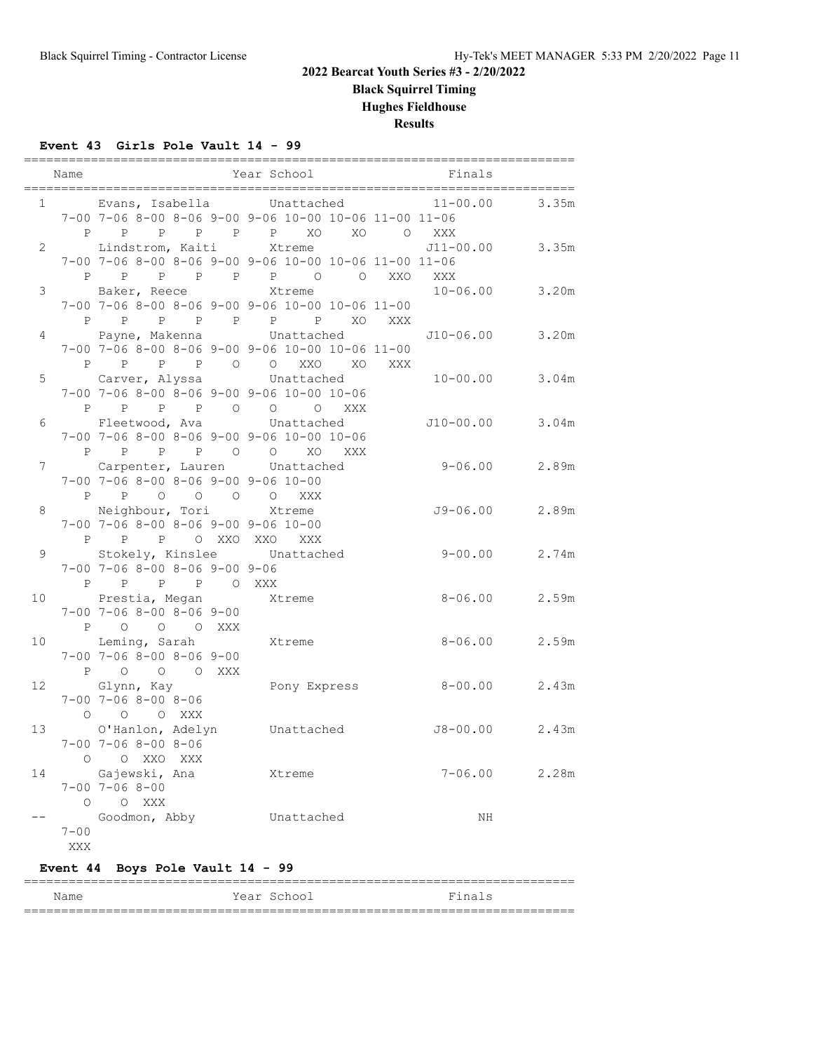**Black Squirrel Timing**

**Hughes Fieldhouse**

**Results**

#### **Event 43 Girls Pole Vault 14 - 99**

|                | Name           |                                                       | Year School | Finals             |                   |
|----------------|----------------|-------------------------------------------------------|-------------|--------------------|-------------------|
|                |                | 1 Evans, Isabella Unattached                          |             | $11 - 00.00$ 3.35m |                   |
|                |                | 7-00 7-06 8-00 8-06 9-00 9-06 10-00 10-06 11-00 11-06 |             |                    |                   |
|                |                | P P P P P P XO XO O XXX                               |             |                    |                   |
|                | $\overline{2}$ | Lindstrom, Kaiti Xtreme 511-00.00 3.35m               |             |                    |                   |
|                |                | 7-00 7-06 8-00 8-06 9-00 9-06 10-00 10-06 11-00 11-06 |             |                    |                   |
|                |                | P P P P P P P O O XXO XXX                             |             |                    |                   |
| 3 <sup>7</sup> |                | Baker, Reece                                          | Xtreme      | $10 - 06.00$ 3.20m |                   |
|                |                | 7-00 7-06 8-00 8-06 9-00 9-06 10-00 10-06 11-00       |             |                    |                   |
|                |                |                                                       |             |                    |                   |
| 4              |                |                                                       |             |                    |                   |
|                |                | 7-00 7-06 8-00 8-06 9-00 9-06 10-00 10-06 11-00       |             |                    |                   |
|                |                | P P P P O O XXO XO XXX                                |             |                    |                   |
| 5              |                | Carver, Alyssa Unattached 10-00.00 3.04m              |             |                    |                   |
|                |                | 7-00 7-06 8-00 8-06 9-00 9-06 10-00 10-06             |             |                    |                   |
|                |                | P P P P O O O XXX                                     |             |                    |                   |
|                |                | 6 Fleetwood, Ava Unattached                           |             | J10-00.00 3.04m    |                   |
|                |                | 7-00 7-06 8-00 8-06 9-00 9-06 10-00 10-06             |             |                    |                   |
|                |                | P P P P O O XO XXX                                    |             |                    |                   |
| $7^{\circ}$    |                | Carpenter, Lauren Unattached                          |             | $9 - 06.00$ 2.89m  |                   |
|                |                | 7-00 7-06 8-00 8-06 9-00 9-06 10-00                   |             |                    |                   |
|                |                | P P O O O O XXX                                       |             |                    |                   |
| 8              |                | Neighbour, Tori Xtreme                                |             | $J9-06.00$ 2.89m   |                   |
|                |                | $7-00$ $7-06$ $8-00$ $8-06$ $9-00$ $9-06$ $10-00$     |             |                    |                   |
|                |                | P P P O XXO XXO XXX<br>Stokely, Kinslee Unattached    |             | $9 - 00.00$ 2.74m  |                   |
| 9              |                | $7-00$ $7-06$ $8-00$ $8-06$ $9-00$ $9-06$             |             |                    |                   |
|                |                | P P P P O XXX                                         |             |                    |                   |
|                |                | 10 Prestia, Megan Xtreme                              |             |                    | $8 - 06.00$ 2.59m |
|                |                | $7 - 00$ $7 - 06$ $8 - 00$ $8 - 06$ $9 - 00$          |             |                    |                   |
|                |                | P O O O XXX                                           |             |                    |                   |
|                |                | 10 Leming, Sarah Xtreme                               |             |                    | $8 - 06.00$ 2.59m |
|                |                | $7-00$ $7-06$ $8-00$ $8-06$ $9-00$                    |             |                    |                   |
|                |                | P O O O XXX                                           |             |                    |                   |
|                |                |                                                       |             |                    |                   |
|                |                |                                                       |             |                    |                   |
|                |                | O O O XXX                                             |             |                    |                   |
| 13             |                | O'Hanlon, Adelyn Unattached                           |             | J8-00.00 2.43m     |                   |
|                |                | $7 - 00$ $7 - 06$ $8 - 00$ $8 - 06$                   |             |                    |                   |
|                |                | O O XXO XXX                                           |             |                    |                   |
| 14             |                | Gajewski, Ana Xtreme                                  |             |                    | $7 - 06.00$ 2.28m |
|                |                | $7 - 00$ $7 - 06$ $8 - 00$                            |             |                    |                   |
|                |                | O O XXX                                               |             |                    |                   |
|                |                | Goodmon, Abby Unattached                              |             | ΝH                 |                   |
|                | $7 - 00$       |                                                       |             |                    |                   |

# **Event 44 Boys Pole Vault 14 - 99**

XXX

========================================================================== Name Year School Finals ==========================================================================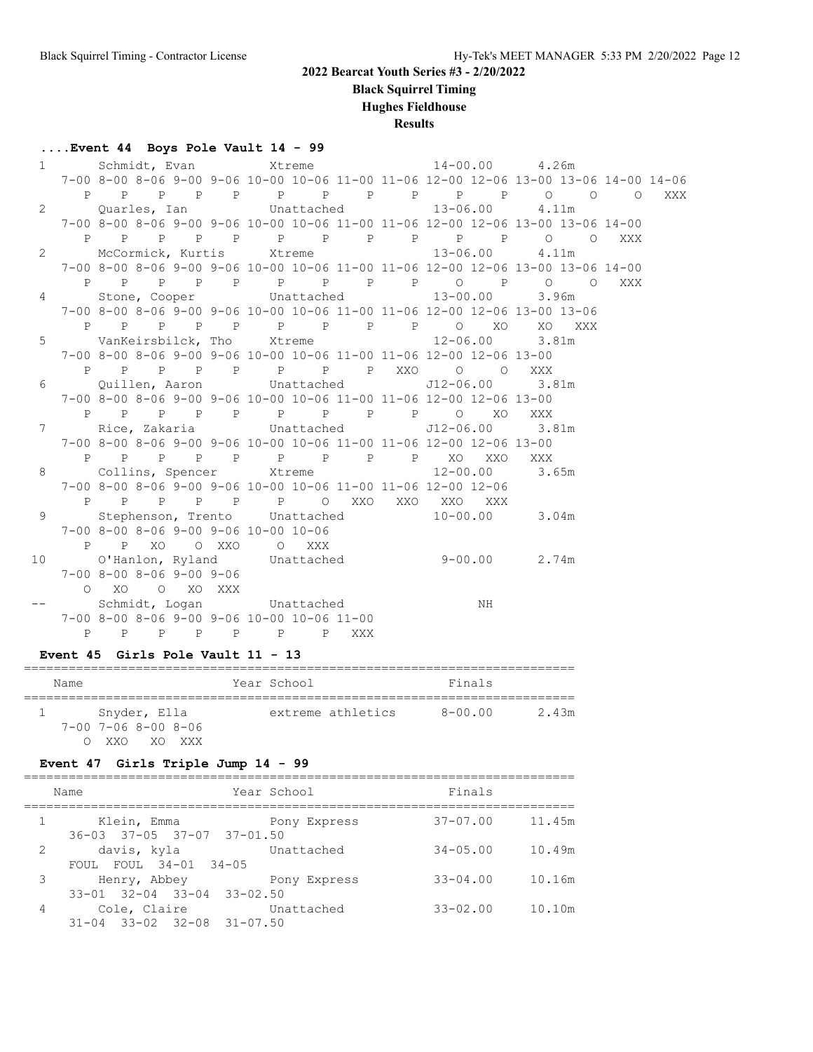**Black Squirrel Timing**

## **Hughes Fieldhouse**

**Results**

#### **....Event 44 Boys Pole Vault 14 - 99**

| $1 \quad$    |                   |                                              | Schmidt, Evan Xtreme                       |  |                                                                                |    | $14 - 00.00$ 4.26m |       |                                                                                      |     |
|--------------|-------------------|----------------------------------------------|--------------------------------------------|--|--------------------------------------------------------------------------------|----|--------------------|-------|--------------------------------------------------------------------------------------|-----|
|              |                   |                                              |                                            |  |                                                                                |    |                    |       | 7-00 8-00 8-06 9-00 9-06 10-00 10-06 11-00 11-06 12-00 12-06 13-00 13-06 14-00 14-06 |     |
|              | $P \qquad \qquad$ |                                              |                                            |  | P P P P P P P P P P P O O                                                      |    |                    |       | $\overline{O}$                                                                       | XXX |
| $\mathbf{2}$ |                   |                                              |                                            |  | Quarles, Ian Chattached 13-06.00 4.11m                                         |    |                    |       |                                                                                      |     |
|              |                   |                                              |                                            |  | 7-00 8-00 8-06 9-00 9-06 10-00 10-06 11-00 11-06 12-00 12-06 13-00 13-06 14-00 |    |                    |       |                                                                                      |     |
|              |                   |                                              |                                            |  | P P P P P P P P P P P P O O XXX                                                |    |                    |       |                                                                                      |     |
| $\mathbf{2}$ |                   |                                              |                                            |  | McCormick, Kurtis Xtreme 13-06.00                                              |    |                    | 4.11m |                                                                                      |     |
|              |                   |                                              |                                            |  | 7-00 8-00 8-06 9-00 9-06 10-00 10-06 11-00 11-06 12-00 12-06 13-00 13-06 14-00 |    |                    |       |                                                                                      |     |
|              |                   |                                              |                                            |  | P P P P P P P P P P P O P O O XXX                                              |    |                    |       |                                                                                      |     |
| 4            |                   |                                              | Stone, Cooper Unattached                   |  | $13 - 00.00$                                                                   |    |                    | 3.96m |                                                                                      |     |
|              |                   |                                              |                                            |  | 7-00 8-00 8-06 9-00 9-06 10-00 10-06 11-00 11-06 12-00 12-06 13-00 13-06       |    |                    |       |                                                                                      |     |
|              |                   |                                              |                                            |  | P P P P P P P P P O XO                                                         |    | XO XXX             |       |                                                                                      |     |
| 5            |                   |                                              |                                            |  | VanKeirsbilck, Tho Xtreme 12-06.00 3.81m                                       |    |                    |       |                                                                                      |     |
|              |                   |                                              |                                            |  | 7-00 8-00 8-06 9-00 9-06 10-00 10-06 11-00 11-06 12-00 12-06 13-00             |    |                    |       |                                                                                      |     |
|              |                   |                                              |                                            |  | P P P P P P P P XXO O O                                                        |    | XXX                |       |                                                                                      |     |
| 6            |                   |                                              | Quillen, Aaron Unattached                  |  |                                                                                |    | J12-06.00 3.81m    |       |                                                                                      |     |
|              |                   |                                              |                                            |  | 7-00 8-00 8-06 9-00 9-06 10-00 10-06 11-00 11-06 12-00 12-06 13-00             |    |                    |       |                                                                                      |     |
|              |                   |                                              |                                            |  | P P P P P P P P P P O XO                                                       |    | XXX                |       |                                                                                      |     |
| $7^{\circ}$  |                   |                                              |                                            |  | Rice, Zakaria both Unattached J12-06.00 3.81m                                  |    |                    |       |                                                                                      |     |
|              |                   |                                              |                                            |  | 7-00 8-00 8-06 9-00 9-06 10-00 10-06 11-00 11-06 12-00 12-06 13-00             |    |                    |       |                                                                                      |     |
|              |                   |                                              |                                            |  | P P P P P P P P P XO XXO                                                       |    | XXX                |       |                                                                                      |     |
| 8            |                   |                                              | Collins, Spencer Xtreme                    |  |                                                                                |    | $12 - 00.00$ 3.65m |       |                                                                                      |     |
|              |                   |                                              |                                            |  | 7-00 8-00 8-06 9-00 9-06 10-00 10-06 11-00 11-06 12-00 12-06                   |    |                    |       |                                                                                      |     |
|              |                   |                                              |                                            |  | P P P P P P O XXO XXO XXO XXX                                                  |    |                    |       |                                                                                      |     |
| 9            |                   |                                              | Stephenson, Trento Unattached              |  |                                                                                |    | $10 - 00.00$ 3.04m |       |                                                                                      |     |
|              |                   |                                              | 7-00 8-00 8-06 9-00 9-06 10-00 10-06       |  |                                                                                |    |                    |       |                                                                                      |     |
|              |                   |                                              | P P XO O XXO O XXX                         |  |                                                                                |    |                    |       |                                                                                      |     |
| 10           |                   |                                              |                                            |  | O'Hanlon, Ryland Unattached 9-00.00 2.74m                                      |    |                    |       |                                                                                      |     |
|              |                   | $7 - 00$ $8 - 00$ $8 - 06$ $9 - 00$ $9 - 06$ |                                            |  |                                                                                |    |                    |       |                                                                                      |     |
|              |                   | O XO O XO XXX                                |                                            |  |                                                                                |    |                    |       |                                                                                      |     |
|              |                   |                                              | Schmidt, Logan Unattached                  |  |                                                                                | NH |                    |       |                                                                                      |     |
|              |                   |                                              | 7-00 8-00 8-06 9-00 9-06 10-00 10-06 11-00 |  |                                                                                |    |                    |       |                                                                                      |     |
|              |                   |                                              | P P P P P P P XXX                          |  |                                                                                |    |                    |       |                                                                                      |     |
|              |                   |                                              |                                            |  |                                                                                |    |                    |       |                                                                                      |     |

#### **Event 45 Girls Pole Vault 11 - 13**

| Name                 | Year School       | Finals      |       |
|----------------------|-------------------|-------------|-------|
| Snyder, Ella         | extreme athletics | $8 - 00.00$ | 2.43m |
| 7-00 7-06 8-00 8-06  |                   |             |       |
| XXO<br>- XO<br>XXX X |                   |             |       |

## **Event 47 Girls Triple Jump 14 - 99**

|                | Name                                                        | Year School  | Finals       |        |
|----------------|-------------------------------------------------------------|--------------|--------------|--------|
|                | Klein, Emma<br>$36 - 03$ $37 - 05$ $37 - 07$ $37 - 01$ , 50 | Pony Express | $37 - 07.00$ | 11.45m |
| 2              | davis, kyla<br>FOUL FOUL 34-01 34-05                        | Unattached   | $34 - 05.00$ | 10.49m |
| 3              | Henry, Abbey<br>$33-01$ $32-04$ $33-04$ $33-02.50$          | Pony Express | $33 - 04.00$ | 10.16m |
| $\overline{4}$ | Cole, Claire<br>$31-04$ $33-02$ $32-08$ $31-07.50$          | Unattached   | $33 - 02.00$ | 10.10m |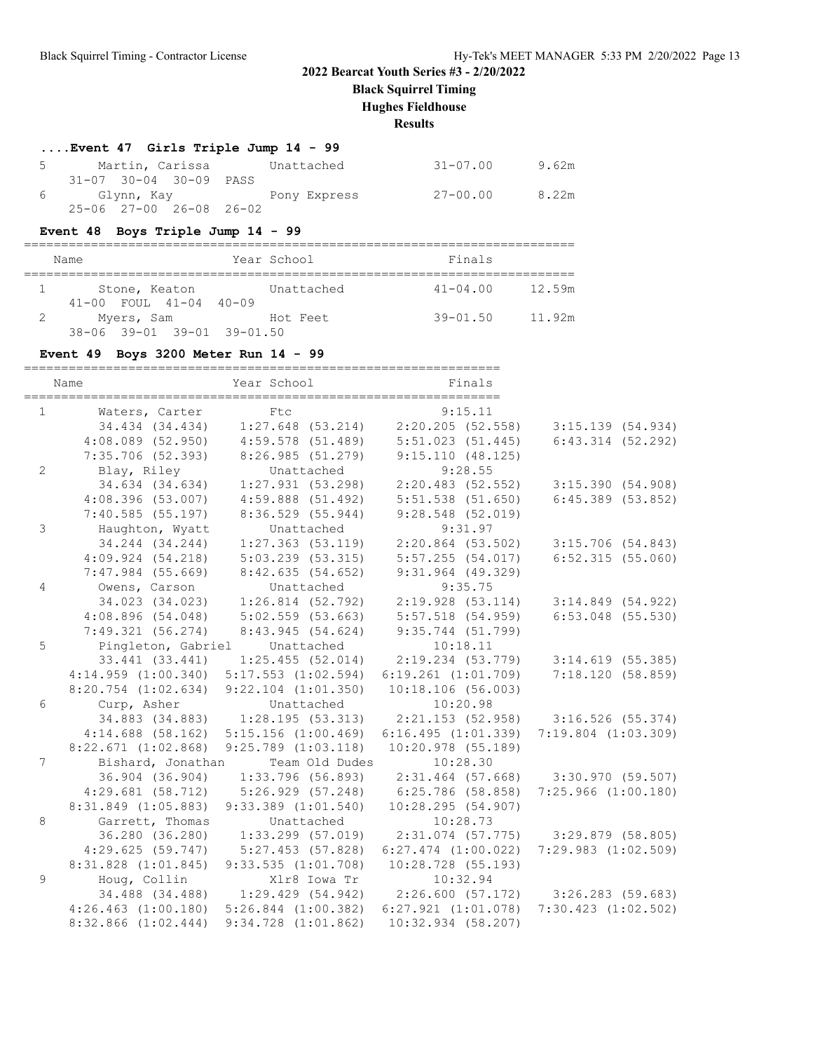**Black Squirrel Timing**

**Hughes Fieldhouse**

**Results**

| Event 47 Girls Triple Jump 14 - 99      |          |       |
|-----------------------------------------|----------|-------|
| 5 Martin, Carissa Unattached            | 31-07.00 | 9.62m |
| $31-07$ $30-04$ $30-09$ PASS            |          |       |
| 6 Glynn, Kay               Pony Express | 27-00.00 | 8.22m |
| $25 - 06$ $27 - 00$ $26 - 08$ $26 - 02$ |          |       |

## **Event 48 Boys Triple Jump 14 - 99**

| _<br>____ |      | ____________ |
|-----------|------|--------------|
| .         | $ -$ |              |

| Name.                        | rear school | Finals       |        |
|------------------------------|-------------|--------------|--------|
| Stone, Keaton                | Unattached  | $41 - 04.00$ | 12.59m |
| $41-00$ FOUL $41-04$ $40-09$ |             |              |        |
| Myers, Sam                   | Hot Feet    | $39 - 01.50$ | 11.92m |
| 38-06 39-01 39-01 39-01.50   |             |              |        |

#### **Event 49 Boys 3200 Meter Run 14 - 99**

|                 | Name                    | Year School                                                           | Finals                                |                         |
|-----------------|-------------------------|-----------------------------------------------------------------------|---------------------------------------|-------------------------|
| 1               | Waters, Carter          | Ftc                                                                   | 9:15.11                               |                         |
|                 |                         | 34.434 (34.434) 1:27.648 (53.214) 2:20.205 (52.558)                   |                                       | 3:15.139(54.934)        |
|                 | $4:08.089$ (52.950)     | 4:59.578 (51.489)                                                     | 5:51.023(51.445)                      | $6:43.314$ $(52.292)$   |
|                 | $7:35.706$ (52.393)     | 8:26.985(51.279)                                                      | 9:15.110(48.125)                      |                         |
| $\mathbf{2}$    | Blay, Riley             | Unattached                                                            | 9:28.55                               |                         |
|                 | 34.634 (34.634)         | $1:27.931$ (53.298)                                                   | $2:20.483$ (52.552)                   | 3:15.390(54.908)        |
|                 | $4:08.396$ (53.007)     | $4:59.888$ $(51.492)$                                                 | $5:51.538$ $(51.650)$                 | $6:45.389$ $(53.852)$   |
|                 | 7:40.585(55.197)        | 8:36.529 (55.944)                                                     | $9:28.548$ (52.019)                   |                         |
| $\mathfrak{Z}$  | Haughton, Wyatt         | Unattached                                                            | 9:31.97                               |                         |
|                 | 34.244 (34.244)         | $1:27.363$ (53.119)                                                   | $2:20.864$ (53.502)                   | 3:15.706(54.843)        |
|                 | 4:09.924(54.218)        | $5:03.239$ $(53.315)$                                                 | 5:57.255(54.017)                      | 6:52.315(55.060)        |
|                 | $7:47.984$ (55.669)     | 8:42.635(54.652)                                                      | $9:31.964$ (49.329)                   |                         |
| $\overline{4}$  | Owens, Carson           | Unattached                                                            | 9:35.75                               |                         |
|                 | 34.023 (34.023)         | $1:26.814$ (52.792) $2:19.928$ (53.114)                               |                                       | $3:14.849$ (54.922)     |
|                 | 4:08.896(54.048)        | 5:02.559(53.663)                                                      | 5:57.518 (54.959)                     | $6:53.048$ (55.530)     |
|                 | 7:49.321(56.274)        | 8:43.945 (54.624)                                                     | 9:35.744 (51.799)                     |                         |
| 5               | Pingleton, Gabriel      | Unattached                                                            | 10:18.11                              |                         |
|                 | 33.441 (33.441)         | $1:25.455$ (52.014)                                                   | $2:19.234$ (53.779)                   | $3:14.619$ (55.385)     |
|                 | 4:14.959(1:00.340)      | $5:17.553$ $(1:02.594)$                                               | $6:19.261$ $(1:01.709)$               | 7:18.120(58.859)        |
|                 | $8:20.754$ $(1:02.634)$ | $9:22.104$ $(1:01.350)$                                               | 10:18.106(56.003)                     |                         |
| 6               | Curp, Asher             | Unattached                                                            | 10:20.98                              |                         |
|                 |                         | 34.883 (34.883) 1:28.195 (53.313) 2:21.153 (52.958) 3:16.526 (55.374) |                                       |                         |
|                 | $4:14.688$ (58.162)     | $5:15.156$ $(1:00.469)$                                               | 6:16.495(1:01.339)                    | $7:19.804$ $(1:03.309)$ |
|                 | $8:22.671$ $(1:02.868)$ | $9:25.789$ $(1:03.118)$                                               | $10:20.978$ (55.189)                  |                         |
| $7\overline{ }$ | Bishard, Jonathan       | Team Old Dudes                                                        | 10:28.30                              |                         |
|                 | 36.904 (36.904)         | 1:33.796 (56.893)                                                     | 2:31.464 (57.668) 3:30.970 (59.507)   |                         |
|                 | 4:29.681(58.712)        |                                                                       | $5:26.929$ (57.248) 6:25.786 (58.858) | $7:25.966$ $(1:00.180)$ |
|                 | $8:31.849$ $(1:05.883)$ | $9:33.389$ $(1:01.540)$                                               | 10:28.295(54.907)                     |                         |
| 8               | Garrett, Thomas         | Unattached                                                            | 10:28.73                              |                         |
|                 | 36.280 (36.280)         | $1:33.299$ (57.019) $2:31.074$ (57.775) $3:29.879$ (58.805)           |                                       |                         |
|                 | 4:29.625(59.747)        | 5:27.453 (57.828)                                                     | $6:27.474$ $(1:00.022)$               | $7:29.983$ $(1:02.509)$ |
|                 | $8:31.828$ $(1:01.845)$ | $9:33.535$ $(1:01.708)$                                               | $10:28.728$ (55.193)                  |                         |
| 9               | Houg, Collin            | Xlr8 Iowa Tr                                                          | 10:32.94                              |                         |
|                 |                         | 34.488 (34.488) 1:29.429 (54.942) 2:26.600 (57.172) 3:26.283 (59.683) |                                       |                         |
|                 |                         | $4:26.463$ $(1:00.180)$ $5:26.844$ $(1:00.382)$                       | $6:27.921$ $(1:01.078)$               | $7:30.423$ $(1:02.502)$ |
|                 | $8:32.866$ $(1:02.444)$ | $9:34.728$ $(1:01.862)$                                               | $10:32.934$ (58.207)                  |                         |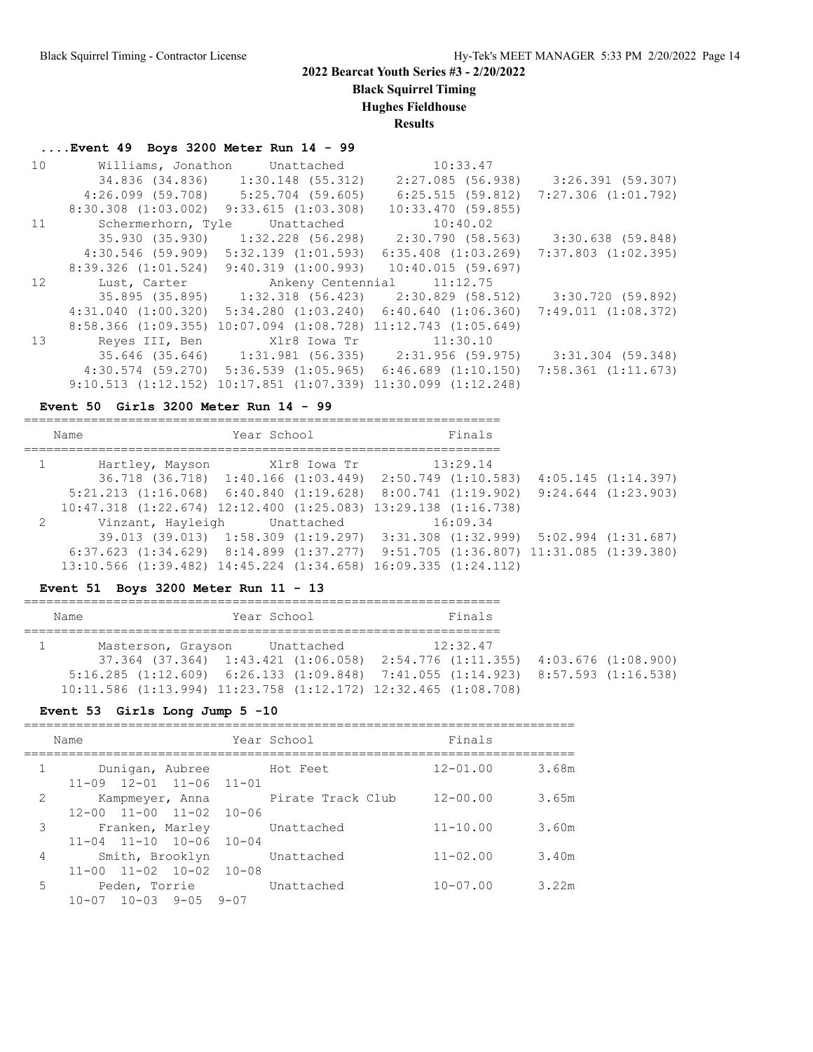**Black Squirrel Timing**

**Hughes Fieldhouse**

**Results**

## **....Event 49 Boys 3200 Meter Run 14 - 99**

| 10 | Williams, Jonathon | Unattached                                                              | 10:33.47                                                              |                                     |
|----|--------------------|-------------------------------------------------------------------------|-----------------------------------------------------------------------|-------------------------------------|
|    |                    | 34.836 (34.836) 1:30.148 (55.312)                                       |                                                                       | 2:27.085 (56.938) 3:26.391 (59.307) |
|    |                    | $4:26.099$ (59.708) 5:25.704 (59.605)                                   | 6:25.515(59.812)                                                      | 7:27.306 (1:01.792)                 |
|    |                    | $8:30.308$ $(1:03.002)$ $9:33.615$ $(1:03.308)$                         | 10:33.470(59.855)                                                     |                                     |
| 11 | Schermerhorn, Tyle | Unattached                                                              | 10:40.02                                                              |                                     |
|    |                    |                                                                         | 35.930 (35.930) 1:32.228 (56.298) 2:30.790 (58.563) 3:30.638 (59.848) |                                     |
|    |                    | $4:30.546$ (59.909) $5:32.139$ (1:01.593)                               | $6:35.408$ $(1:03.269)$                                               | 7:37.803 (1:02.395)                 |
|    |                    | $8:39.326$ $(1:01.524)$ $9:40.319$ $(1:00.993)$ $10:40.015$ $(59.697)$  |                                                                       |                                     |
| 12 |                    | Lust, Carter Mankeny Centennial 11:12.75                                |                                                                       |                                     |
|    |                    |                                                                         | 35.895 (35.895) 1:32.318 (56.423) 2:30.829 (58.512) 3:30.720 (59.892) |                                     |
|    |                    | $4:31.040$ $(1:00.320)$ $5:34.280$ $(1:03.240)$ $6:40.640$ $(1:06.360)$ |                                                                       | 7:49.011 (1:08.372)                 |
|    |                    | 8:58.366 (1:09.355) 10:07.094 (1:08.728) 11:12.743 (1:05.649)           |                                                                       |                                     |
| 13 | Reves III, Ben     |                                                                         |                                                                       |                                     |
|    |                    |                                                                         |                                                                       | 3:31.304 (59.348)                   |
|    |                    | $4:30.574$ (59.270) 5:36.539 (1:05.965) 6:46.689 (1:10.150)             |                                                                       | 7:58.361 (1:11.673)                 |
|    |                    |                                                                         |                                                                       |                                     |

#### **Event 50 Girls 3200 Meter Run 14 - 99**

| Name         |  | Year School                           | Finals                                                                                           |  |
|--------------|--|---------------------------------------|--------------------------------------------------------------------------------------------------|--|
| $\mathbf{1}$ |  | Hartley, Mayson Xlr8 Iowa Tr 13:29.14 |                                                                                                  |  |
|              |  |                                       | 36.718 (36.718) 1:40.166 (1:03.449) 2:50.749 (1:10.583) 4:05.145 (1:14.397)                      |  |
|              |  |                                       | $5:21.213$ $(1:16.068)$ $6:40.840$ $(1:19.628)$ $8:00.741$ $(1:19.902)$ $9:24.644$ $(1:23.903)$  |  |
|              |  |                                       | $10:47.318$ $(1:22.674)$ $12:12.400$ $(1:25.083)$ $13:29.138$ $(1:16.738)$                       |  |
| 2            |  | Vinzant, Hayleigh Unattached 16:09.34 |                                                                                                  |  |
|              |  |                                       | 39.013 (39.013) 1:58.309 (1:19.297) 3:31.308 (1:32.999) 5:02.994 (1:31.687)                      |  |
|              |  |                                       | $6:37.623$ $(1:34.629)$ $8:14.899$ $(1:37.277)$ $9:51.705$ $(1:36.807)$ $11:31.085$ $(1:39.380)$ |  |
|              |  |                                       | 13:10.566 (1:39.482) 14:45.224 (1:34.658) 16:09.335 (1:24.112)                                   |  |

## **Event 51 Boys 3200 Meter Run 11 - 13**

| Name |  |  | Year School                   |                                                                                             |  | Finals   |  |  |  |
|------|--|--|-------------------------------|---------------------------------------------------------------------------------------------|--|----------|--|--|--|
|      |  |  |                               |                                                                                             |  |          |  |  |  |
|      |  |  | Masterson, Grayson Unattached |                                                                                             |  | 12:32.47 |  |  |  |
|      |  |  |                               | $37.364$ $(37.364)$ $1:43.421$ $(1:06.058)$ $2:54.776$ $(1:11.355)$ $4:03.676$ $(1:08.900)$ |  |          |  |  |  |
|      |  |  |                               | $5:16.285$ (1:12.609) 6:26.133 (1:09.848) 7:41.055 (1:14.923) 8:57.593 (1:16.538)           |  |          |  |  |  |
|      |  |  |                               | 10:11.586 (1:13.994) 11:23.758 (1:12.172) 12:32.465 (1:08.708)                              |  |          |  |  |  |

#### **Event 53 Girls Long Jump 5 -10**

|                | Name                                                                  | Year School       | Finals       |       |
|----------------|-----------------------------------------------------------------------|-------------------|--------------|-------|
| $\mathbf 1$    | Dunigan, Aubree<br>$11-09$ $12-01$ $11-06$ $11-01$                    | Hot Feet          | $12 - 01.00$ | 3.68m |
| $\overline{2}$ | Kampmeyer, Anna<br>$11 - 00$ $11 - 02$<br>$12 - 00$<br>$10 - 06$      | Pirate Track Club | $12 - 00.00$ | 3.65m |
| 3              | Franken, Marley Unattached<br>$11 - 04$ $11 - 10$ $10 - 06$ $10 - 04$ |                   | $11 - 10.00$ | 3.60m |
| $\overline{4}$ | Smith, Brooklyn<br>$11 - 02$ $10 - 02$ $10 - 08$<br>$11 - 00$         | Unattached        | $11 - 02.00$ | 3.40m |
| 5              | Peden, Torrie<br>$10-07$ $10-03$ $9-05$ $9-07$                        | Unattached        | $10 - 07.00$ | 3.22m |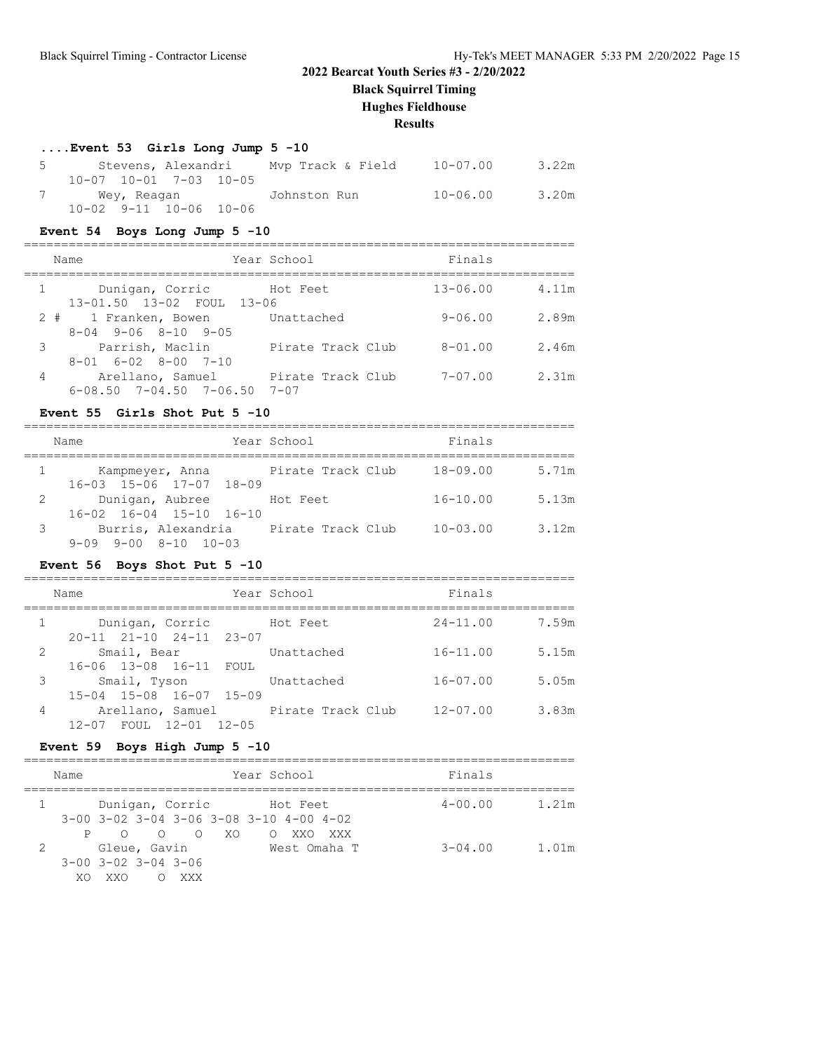**Black Squirrel Timing**

#### **Hughes Fieldhouse**

**Results**

#### **....Event 53 Girls Long Jump 5 -10**

| 5 Stevens, Alexandri           | Mvp Track & Field | 10-07.00     | 3.22m |
|--------------------------------|-------------------|--------------|-------|
| $10-07$ $10-01$ $7-03$ $10-05$ |                   |              |       |
|                                |                   | $10 - 06.00$ | 3.20m |
| $10 - 02$ 9-11 10-06 10-06     |                   |              |       |

#### **Event 54 Boys Long Jump 5 -10**

==========================================================================

|   | Name                                              | Year School       | Finals       |       |
|---|---------------------------------------------------|-------------------|--------------|-------|
|   | Dunigan, Corric<br>$1 \qquad \qquad$              | Hot Feet          | $13 - 06.00$ | 4.11m |
|   | 13-01.50 13-02 FOUL 13-06<br>2 # 1 Franken, Bowen | Unattached        | $9 - 06.00$  | 2.89m |
|   | $8-04$ 9-06 $8-10$ 9-05<br>3 Parrish, Maclin      | Pirate Track Club | $8 - 01.00$  | 2.46m |
| 4 | $8-01$ $6-02$ $8-00$ $7-10$<br>Arellano, Samuel   | Pirate Track Club | $7 - 07.00$  | 2.31m |
|   | $6 - 08.50$ $7 - 04.50$ $7 - 06.50$               | $7 - 07$          |              |       |

#### **Event 55 Girls Shot Put 5 -10**

|   | Name                                                                         | Year School | Finals                |
|---|------------------------------------------------------------------------------|-------------|-----------------------|
|   | Kampmeyer, Anna Pirate Track Club<br>$16 - 03$ $15 - 06$ $17 - 07$ $18 - 09$ |             | $18 - 09.00$<br>5.71m |
|   | $\mathbf{2}$<br>Dunigan, Aubree Hot Feet<br>16-02 16-04 15-10 16-10          |             | $16 - 10.00$<br>5.13m |
| 3 | Burris, Alexandria Pirate Track Club<br>$9-09$ $9-00$ $8-10$ $10-03$         |             | $10 - 03.00$<br>3.12m |

#### **Event 56 Boys Shot Put 5 -10**

|   | Name                                                         | Year School | Finals       |       |
|---|--------------------------------------------------------------|-------------|--------------|-------|
|   | Dunigan, Corric<br>$20 - 11$ $21 - 10$ $24 - 11$ $23 - 07$   | Hot Feet    | $24 - 11.00$ | 7.59m |
| 2 | Smail, Bear<br>16-06 13-08 16-11 FOUL                        | Unattached  | $16 - 11.00$ | 5.15m |
| 3 | Smail, Tyson<br>15-04 15-08 16-07 15-09                      | Unattached  | $16 - 07.00$ | 5.05m |
| 4 | Arellano, Samuel Pirate Track Club<br>12-07 FOUL 12-01 12-05 |             | $12 - 07.00$ | 3.83m |

#### **Event 59 Boys High Jump 5 -10**

|   | Name |                                                                                     | Year School          | Finals      |       |
|---|------|-------------------------------------------------------------------------------------|----------------------|-------------|-------|
|   |      | Dunigan, Corric Hot Feet<br>$3-00$ $3-02$ $3-04$ $3-06$ $3-08$ $3-10$ $4-00$ $4-02$ |                      | $4 - 00.00$ | 1.21m |
|   | P.   | $O$ $O$ $O$ $XO$                                                                    | $\circ$ 0<br>XXO XXX |             |       |
| 2 | XO   | Gleue, Gavin<br>$3 - 00$ $3 - 02$ $3 - 04$ $3 - 06$<br><b>XXO</b><br>XXX            | West Omaha T         | $3 - 04.00$ | 1.01m |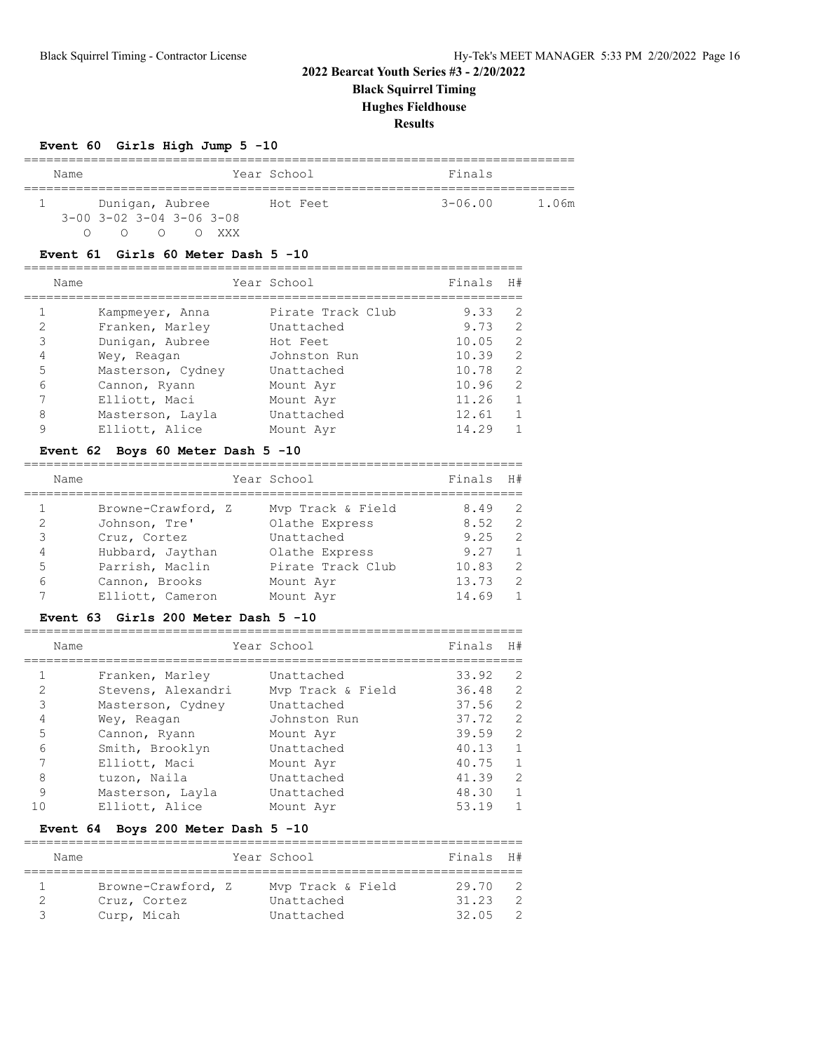**Black Squirrel Timing**

**Hughes Fieldhouse**

**Results**

#### **Event 60 Girls High Jump 5 -10**

| Name                                         | Year School | Finals      |       |  |  |  |  |  |  |
|----------------------------------------------|-------------|-------------|-------|--|--|--|--|--|--|
|                                              |             |             |       |  |  |  |  |  |  |
| Dunigan, Aubree                              | Hot Feet    | $3 - 06.00$ | 1.06m |  |  |  |  |  |  |
| $3 - 00$ $3 - 02$ $3 - 04$ $3 - 06$ $3 - 08$ |             |             |       |  |  |  |  |  |  |
|                                              | XXX         |             |       |  |  |  |  |  |  |

#### **Event 61 Girls 60 Meter Dash 5 -10**

|                | Name |                   | Year School       | Finals | H#            |
|----------------|------|-------------------|-------------------|--------|---------------|
|                |      | Kampmeyer, Anna   | Pirate Track Club | 9.33   | $\mathcal{L}$ |
| 2              |      | Franken, Marley   | Unattached        | 9.73   | 2             |
| 3              |      | Dunigan, Aubree   | Hot Feet          | 10.05  | 2             |
| $\overline{4}$ |      | Wey, Reagan       | Johnston Run      | 10.39  | 2             |
| .5             |      | Masterson, Cydney | Unattached        | 10.78  | 2             |
| 6              |      | Cannon, Ryann     | Mount Ayr         | 10.96  | 2             |
|                |      | Elliott, Maci     | Mount Ayr         | 11.26  | 1             |
| 8              |      | Masterson, Layla  | Unattached        | 12.61  | $\mathbf{1}$  |
| 9              |      | Elliott, Alice    | Mount Avr         | 14.29  |               |
|                |      |                   |                   |        |               |

#### **Event 62 Boys 60 Meter Dash 5 -10**

|   | Name |                    | Year School       | Finals H# |                |
|---|------|--------------------|-------------------|-----------|----------------|
|   |      | Browne-Crawford, Z | Mvp Track & Field | 8.49      | 2              |
| 2 |      | Johnson, Tre'      | Olathe Express    | 8.52      | $\mathcal{L}$  |
| 3 |      | Cruz, Cortez       | Unattached        | 9.25      | $\mathcal{L}$  |
| 4 |      | Hubbard, Jaythan   | Olathe Express    | 9.27      | $\overline{1}$ |
| 5 |      | Parrish, Maclin    | Pirate Track Club | 10.83     | $\mathcal{L}$  |
| 6 |      | Cannon, Brooks     | Mount Ayr         | 13.73     | 2              |
|   |      | Elliott, Cameron   | Mount Avr         | 14.69     | $\overline{1}$ |

#### **Event 63 Girls 200 Meter Dash 5 -10**

|               | Name               | Year School       | Finals | H#            |
|---------------|--------------------|-------------------|--------|---------------|
|               |                    |                   |        |               |
|               | Franken, Marley    | Unattached        | 33.92  | $\mathcal{L}$ |
| $\mathcal{D}$ | Stevens, Alexandri | Mvp Track & Field | 36.48  | $\mathcal{L}$ |
| 3             | Masterson, Cydney  | Unattached        | 37.56  | $\mathcal{L}$ |
| 4             | Wey, Reagan        | Johnston Run      | 37.72  | $\mathcal{L}$ |
| 5             | Cannon, Ryann      | Mount Ayr         | 39.59  | $\mathcal{L}$ |
| 6             | Smith, Brooklyn    | Unattached        | 40.13  | $\mathbf{1}$  |
|               | Elliott, Maci      | Mount Ayr         | 40.75  | $\mathbf{1}$  |
| 8             | tuzon, Naila       | Unattached        | 41.39  | $\mathcal{L}$ |
| 9             | Masterson, Layla   | Unattached        | 48.30  | $\mathbf{1}$  |
|               | Elliott, Alice     | Mount Avr         | 53.19  |               |

#### **Event 64 Boys 200 Meter Dash 5 -10**

|   | Name |                    | Year School       | Finals H# |                |
|---|------|--------------------|-------------------|-----------|----------------|
|   |      |                    |                   |           |                |
|   |      | Browne-Crawford, Z | Mvp Track & Field | 29.70     | $\overline{2}$ |
|   |      | Cruz, Cortez       | Unattached        | 31.23     | - 2            |
| ੨ |      | Curp, Micah        | Unattached        | 32.05     | - 2            |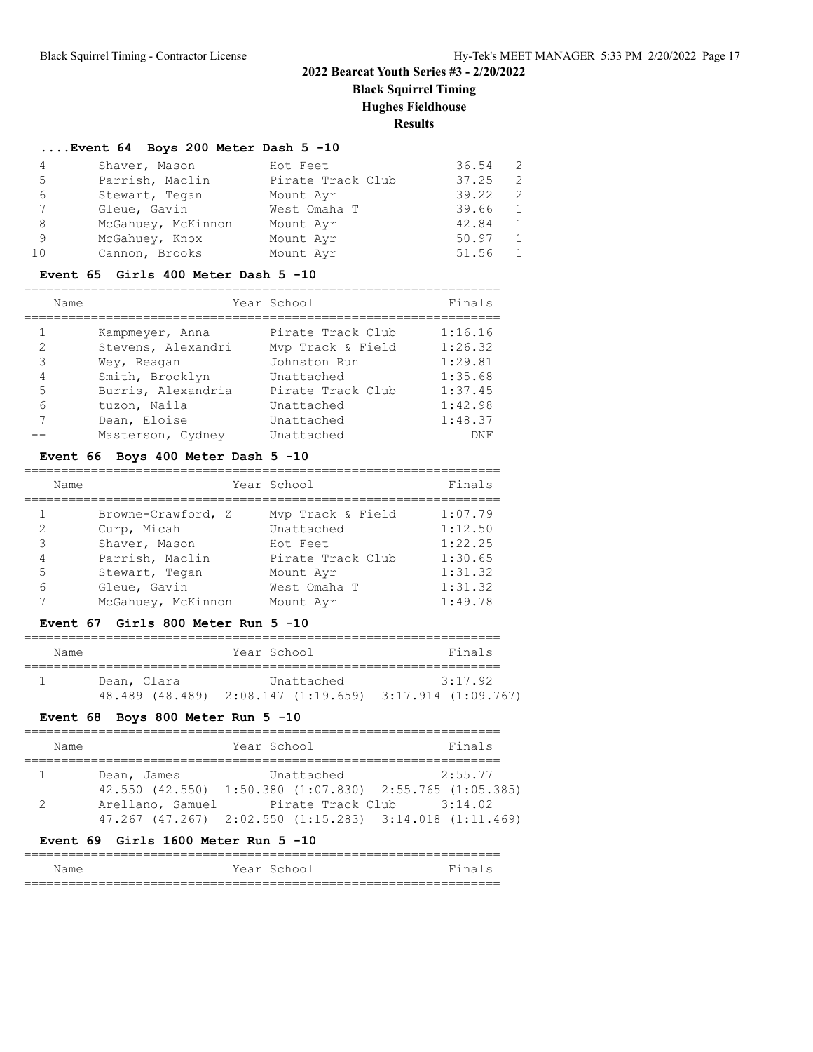**Black Squirrel Timing**

**Hughes Fieldhouse**

## **Results**

#### **....Event 64 Boys 200 Meter Dash 5 -10**

| 4  | Shaver, Mason      | Hot Feet          | 36.54 |               |
|----|--------------------|-------------------|-------|---------------|
| 5  | Parrish, Maclin    | Pirate Track Club | 37.25 | 2             |
| 6  | Stewart, Tegan     | Mount Ayr         | 39.22 | $\mathcal{P}$ |
| 7  | Gleue, Gavin       | West Omaha T      | 39.66 |               |
| 8  | McGahuey, McKinnon | Mount Ayr         | 42.84 |               |
| 9  | McGahuey, Knox     | Mount Ayr         | 50.97 |               |
| 10 | Cannon, Brooks     | Mount Ayr         | 51.56 |               |

#### **Event 65 Girls 400 Meter Dash 5 -10**

|               | Name |                    | Year School       | Finals  |
|---------------|------|--------------------|-------------------|---------|
|               |      | Kampmeyer, Anna    | Pirate Track Club | 1:16.16 |
| $\mathcal{L}$ |      | Stevens, Alexandri | Mvp Track & Field | 1:26.32 |
| 3             |      | Wey, Reagan        | Johnston Run      | 1:29.81 |
| 4             |      | Smith, Brooklyn    | Unattached        | 1:35.68 |
| 5             |      | Burris, Alexandria | Pirate Track Club | 1:37.45 |
| 6             |      | tuzon, Naila       | Unattached        | 1:42.98 |
| 7             |      | Dean, Eloise       | Unattached        | 1:48.37 |
|               |      | Masterson, Cydney  | Unattached        | DNF     |

#### **Event 66 Boys 400 Meter Dash 5 -10**

|   | Name |                    | Year School       | Finals  |
|---|------|--------------------|-------------------|---------|
|   |      | Browne-Crawford, Z | Mvp Track & Field | 1:07.79 |
| 2 |      | Curp, Micah        | Unattached        | 1:12.50 |
| 3 |      | Shaver, Mason      | Hot Feet          | 1:22.25 |
| 4 |      | Parrish, Maclin    | Pirate Track Club | 1:30.65 |
| 5 |      | Stewart, Tegan     | Mount Ayr         | 1:31.32 |
| 6 |      | Gleue, Gavin       | West Omaha T      | 1:31.32 |
|   |      | McGahuey, McKinnon | Mount Ayr         | 1:49.78 |

#### **Event 67 Girls 800 Meter Run 5 -10**

| Name |             | Year School | Finals                                                  |
|------|-------------|-------------|---------------------------------------------------------|
|      | Dean, Clara | Unattached  | 3:17.92                                                 |
|      |             |             | 48.489 (48.489) 2:08.147 (1:19.659) 3:17.914 (1:09.767) |

#### **Event 68 Boys 800 Meter Run 5 -10**

| Name        | Year School                                                         | Finals  |
|-------------|---------------------------------------------------------------------|---------|
|             |                                                                     |         |
| Dean, James | Unattached                                                          | 2:55.77 |
|             | 42.550 (42.550) 1:50.380 (1:07.830) 2:55.765 (1:05.385)             |         |
|             | Arellano, Samuel Pirate Track Club                                  | 3:14.02 |
|             | $47.267$ $(47.267)$ $2:02.550$ $(1:15.283)$ $3:14.018$ $(1:11.469)$ |         |

## **Event 69 Girls 1600 Meter Run 5 -10**

|      | ____________________________________ |             |        |
|------|--------------------------------------|-------------|--------|
| Name |                                      | Year School | Finals |
|      |                                      |             |        |